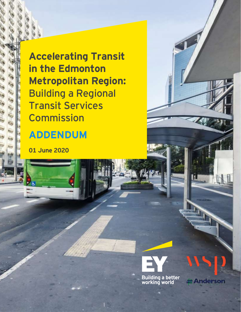**Accelerating Transit in the Edmonton Metropolitan Region:** Building a Regional Transit Services **Commission** 

# **ADDENDUM**

**01 June 2020**

鴂

k.



**Anderson**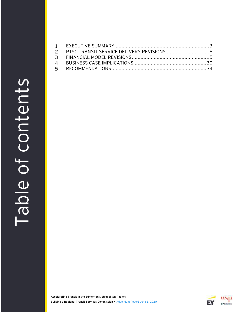# Table of contents Table of contents

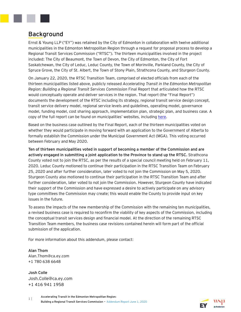

# **Background**

Ernst & Young LLP ("EY") was retained by the City of Edmonton in collaboration with twelve additional municipalities in the Edmonton Metropolitan Region through a request for proposal process to develop a Regional Transit Services Commission ("RTSC"). The thirteen municipalities involved in the project included: The City of Beaumont, the Town of Devon, the City of Edmonton, the City of Fort Saskatchewan, the City of Leduc, Leduc County, the Town of Morinville, Parkland County, the City of Spruce Grove, the City of St. Albert, the Town of Stony Plain, Strathcona County, and Sturgeon County.

On January 22, 2020, the RTSC Transition Team, comprised of elected officials from each of the thirteen municipalities listed above, publicly released *Accelerating Transit in the Edmonton Metropolitan Region: Building a Regional Transit Services Commission* Final Report that articulated how the RTSC would conceptually operate and deliver services in the region. That report (the "Final Report") documents the development of the RTSC including its strategy, regional transit service design concept, transit service delivery model, regional service levels and guidelines, operating model, governance model, funding model, cost sharing approach, implementation plan, strategic plan, and business case. A copy of the full report can be found on municipalities' websites, including [here.](https://stalbert.ca/site/assets/files/7902/accelerating_transit_in_the_edmonton_metropolitan_region_-_building_a_rtsc_20200122rf.pdf)

Based on the business case outlined by the Final Report, each of the thirteen municipalities voted on whether they would participate in moving forward with an application to the Government of Alberta to formally establish the Commission under the Municipal Government Act (MGA). This voting occurred between February and May 2020.

**Ten of thirteen municipalities voted in support of becoming a member of the Commission and are actively engaged in submitting a joint application to the Province to stand up the RTSC.** Strathcona County voted not to join the RTSC, as per the results of a special council meeting held on February 11, 2020. Leduc County motioned to continue their participation in the RTSC Transition Team on February 25, 2020 and after further consideration, later voted to not join the Commission on May 5, 2020. Sturgeon County also motioned to continue their participation in the RTSC Transition Team and after further consideration, later voted to not join the Commission. However, Sturgeon County have indicated their support of the Commission and have expressed a desire to actively participate on any advisory type committees the Commission may create; this would enable the County to provide input on key issues in the future.

To assess the impacts of the new membership of the Commission with the remaining ten municipalities, a revised business case is required to reconfirm the viability of key aspects of the Commission, including the conceptual transit services design and financial model. At the direction of the remaining RTSC Transition Team members, the business case revisions contained herein will form part of the official submission of the application.

For more information about this addendum, please contact:

**Alan Thom** Alan.Thom@ca.ey.com +1 780 638 6648

**Josh Colle** Josh.Colle@ca.ey.com +1 416 941 1958

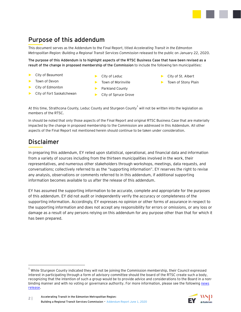# **Purpose of this addendum**

This document serves as the Addendum to the Final Report, titled *Accelerating Transit in the Edmonton Metropolitan Region: Building a Regional Transit Services Commission* released to the public on January 22, 2020.

**The purpose of this Addendum is to highlight aspects of the RTSC Business Case that have been revised as a result of the change in proposed membership of the Commission** to include the following ten municipalities:

- ► City of Beaumont
- ► City of Leduc

► Town of Devon

- ► Town of Morinville
- ► City of Edmonton
- ► City of Fort Saskatchewan
- ► Parkland County
- ► City of Spruce Grove
- ► City of St. Albert
- ► Town of Stony Plain

At this time, Strathcona County, Leduc County and Sturgeon County $^1$  will not be written into the legislation as members of the RTSC.

In should be noted that only those aspects of the Final Report and original RTSC Business Case that are materially impacted by the change in proposed membership to the Commission are addressed in this Addendum. All other aspects of the Final Report not mentioned herein should continue to be taken under consideration.

# **Disclaimer**

In preparing this addendum, EY relied upon statistical, operational, and financial data and information from a variety of sources including from the thirteen municipalities involved in the work, their representatives, and numerous other stakeholders through workshops, meetings, data requests, and conversations; collectively referred to as the "supporting information". EY reserves the right to revise any analysis, observations or comments referred to in this addendum, if additional supporting information becomes available to us after the release of this addendum.

EY has assumed the supporting information to be accurate, complete and appropriate for the purposes of this addendum. EY did not audit or independently verify the accuracy or completeness of the supporting information. Accordingly, EY expresses no opinion or other forms of assurance in respect to the supporting information and does not accept any responsibility for errors or omissions, or any loss or damage as a result of any persons relying on this addendum for any purpose other than that for which it has been prepared.

 $^{\rm 1}$  While Sturgeon County indicated they will not be joining the Commission membership, their Council expressed interest in participating through a form of advisory committee should the board of the RTSC create such a body, recognizing that the intention of such a group would be to provide advice and considerations to the Board in a nonbinding manner and with no voting or governance authority. For more information, please see the following news [release.](https://www.sturgeoncounty.ca/AgricultureCorner/sturgeon-county-votes-to-explore-the-benefits-of-regional-transit-services-1)

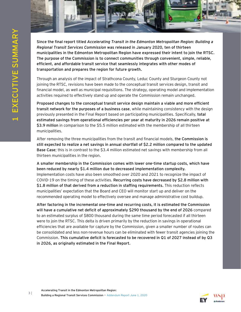

**Since the final report titled** *Accelerating Transit in the Edmonton Metropolitan Region: Building a Regional Transit Services Commission* **was released in January 2020, ten of thirteen municipalities in the Edmonton Metropolitan Region have expressed their intent to join the RTSC. The purpose of the Commission is to connect communities through convenient, simple, reliable, efficient, and affordable transit service that seamlessly integrates with other modes of transportation and prepares the region for future growth.**

<span id="page-4-0"></span>Through an analysis of the impact of Strathcona County, Leduc County and Sturgeon County not joining the RTSC, revisions have been made to the conceptual transit services design, transit and financial model, as well as municipal requisitions. The strategy, operating model and implementation activities required to effectively stand up and operate the Commission remain unchanged.

**Proposed changes to the conceptual transit service design maintain a viable and more efficient transit network for the purposes of a business case**, while maintaining consistency with the design previously presented in the Final Report based on participating municipalities. Specifically, **total estimated savings from operational efficiencies per year at maturity in 2026 remain positive at \$3.9 million** in comparison to the \$5.5 million estimated with the membership of all thirteen municipalities.

After removing the three municipalities from the transit and financial models, **the Commission is still expected to realize a net savings in annual shortfall of \$2.2 million compared to the updated Base Case**; this is in contrast to the \$3.4 million estimated net savings with membership from all thirteen municipalities in the region.

**A smaller membership in the Commission comes with lower one-time startup costs, which have been reduced by nearly \$1.4 million due to decreased implementation complexity.** Implementation costs have also been smoothed over 2020 and 2021 to recognize the impact of COVID-19 on the timing of these activities. **Recurring costs have decreased by \$2.8 million with \$1.8 million of that derived from a reduction in staffing requirements.** This reduction reflects municipalities' expectation that the Board and CEO will monitor start up and deliver on the recommended operating model to effectively oversee and manage administrative cost buildup.

**After factoring in the incremental one-time and recurring costs, it is estimated the Commission will have a cumulative net deficit of approximately \$290 thousand by the end of 2026** compared to an estimated surplus of \$800 thousand during the same time period forecasted if all thirteen were to join the RTSC. This delta is driven primarily by the reduction in savings in operational efficiencies that are available for capture by the Commission, given a smaller number of routes can be consolidated and less non-revenue hours can be eliminated with fewer transit agencies joining the Commission. **This cumulative deficit is forecasted to be recovered in Q1 of 2027 instead of by Q3 in 2026, as originally estimated in the Final Report.**

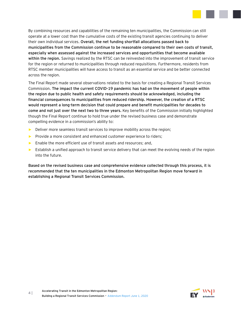

By combining resources and capabilities of the remaining ten municipalities, the Commission can still operate at a lower cost than the cumulative costs of the existing transit agencies continuing to deliver their own individual services. **Overall, the net funding shortfall allocations passed back to municipalities from the Commission continue to be reasonable compared to their own costs of transit, especially when assessed against the increased services and opportunities that become available within the region.** Savings realized by the RTSC can be reinvested into the improvement of transit service for the region or returned to municipalities through reduced requisitions. Furthermore, residents from RTSC member municipalities will have access to transit as an essential service and be better connected across the region.

The Final Report made several observations related to the basis for creating a Regional Transit Services Commission. **The impact the current COVID-19 pandemic has had on the movement of people within the region due to public health and safety requirements should be acknowledged, including the financial consequences to municipalities from reduced ridership. However, the creation of a RTSC would represent a long-term decision that could prepare and benefit municipalities for decades to come and not just over the next two to three years.** Key benefits of the Commission initially highlighted though the Final Report continue to hold true under the revised business case and demonstrate compelling evidence in a commission's ability to:

- ► Deliver more seamless transit services to improve mobility across the region;
- ► Provide a more consistent and enhanced customer experience to riders;
- ► Enable the more efficient use of transit assets and resources; and,
- ► Establish a unified approach to transit service delivery that can meet the evolving needs of the region into the future.

**Based on the revised business case and comprehensive evidence collected through this process, it is recommended that the ten municipalities in the Edmonton Metropolitan Region move forward in establishing a Regional Transit Services Commission.**

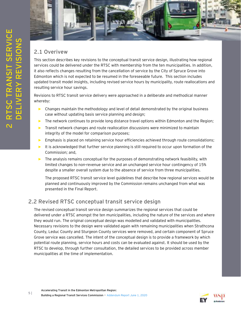

# **2.1 Overivew**

<span id="page-6-0"></span>This section describes key revisions to the conceptual transit service design, illustrating how regional services could be delivered under the RTSC with membership from the ten municipalities. In addition, it also reflects changes resulting from the cancellation of service by the City of Spruce Grove into Edmonton which is not expected to be resumed in the foreseeable future. This section includes updated transit model insights, including revised service hours by municipality, route reallocations and resulting service hour savings.

Revisions to RTSC transit service delivery were approached in a deliberate and methodical manner whereby:

- ► Changes maintain the methodology and level of detail demonstrated by the original business case without updating basis service planning and design;
- ► The network continues to provide long distance travel options within Edmonton and the Region;
- Transit network changes and route reallocation discussions were minimized to maintain integrity of the model for comparison purposes;
- Emphasis is placed on retaining service hour efficiencies achieved through route consolidations;
- It is acknowledged that further service planning is still required to occur upon formation of the Commission; and,
- The analysis remains conceptual for the purposes of demonstrating network feasibility, with limited changes to non-revenue service and an unchanged service hour contingency of 15% despite a smaller overall system due to the absence of service from three municipalities.

The proposed RTSC transit service level guidelines that describe how regional services would be planned and continuously improved by the Commission remains unchanged from what was presented in the Final Report.

# **2.2 Revised RTSC conceptual transit service design**

The revised conceptual transit service design summarizes the regional services that could be delivered under a RTSC amongst the ten municipalities, including the nature of the services and where they would run. The original conceptual design was modelled and validated with municipalities. Necessary revisions to the design were validated again with remaining municipalities when Strathcona County, Leduc County and Sturgeon County services were removed, and certain component of Spruce Grove service was cancelled. The intent of the conceptual design is to provide a framework by which potential route planning, service hours and costs can be evaluated against. It should be used by the RTSC to develop, through further consultation, the detailed services to be provided across member municipalities at the time of implementation.



**2**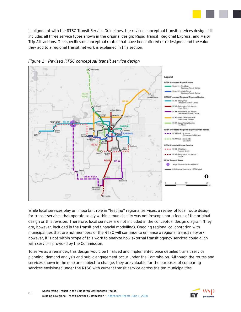In alignment with the RTSC Transit Service Guidelines, the revised conceptual transit services design still includes all three service types shown in the original design: Rapid Transit, Regional Express, and Major Trip Attractions. The specifics of conceptual routes that have been altered or redesigned and the value they add to a regional transit network is explained in this section.



#### *Figure 1 - Revised RTSC conceptual transit service design*

While local services play an important role in "feeding" regional services, a review of local route design for transit services that operate solely within a municipality was not in-scope nor a focus of the original design or this revision. Therefore, local services are not included in the conceptual design diagram (they are, however, included in the transit and financial modelling). Ongoing regional collaboration with municipalities that are not members of the RTSC will continue to enhance a regional transit network; however, it is not within scope of this work to analyze how external transit agency services could align with services provided by the Commission.

To serve as a reminder, this design would be finalized and implemented once detailed transit service planning, demand analysis and public engagement occur under the Commission. Although the routes and services shown in the map are subject to change, they are valuable for the purposes of comparing services envisioned under the RTSC with current transit service across the ten municipalities.

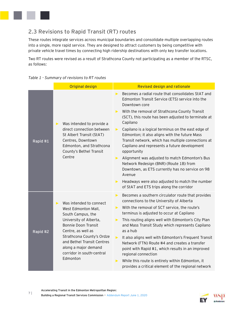

# **2.3 Revisions to Rapid Transit (RT) routes**

These routes integrate services across municipal boundaries and consolidate multiple overlapping routes into a single, more rapid service. They are designed to attract customers by being competitive with private vehicle travel times by connecting high ridership destinations with only key transfer locations.

Two RT routes were revised as a result of Strathcona County not participating as a member of the RTSC, as follows:

| Table 1 - Summary of revisions to RT routes |  |  |  |  |
|---------------------------------------------|--|--|--|--|
|---------------------------------------------|--|--|--|--|

|          | <b>Original design</b>                                                                                                                                                                                                                                                                                 | <b>Revised design and rationale</b>                                                                                                                                                                                                                                                                                                                                                                                                                                                                                                                                                                                                                                                                                                                                                              |
|----------|--------------------------------------------------------------------------------------------------------------------------------------------------------------------------------------------------------------------------------------------------------------------------------------------------------|--------------------------------------------------------------------------------------------------------------------------------------------------------------------------------------------------------------------------------------------------------------------------------------------------------------------------------------------------------------------------------------------------------------------------------------------------------------------------------------------------------------------------------------------------------------------------------------------------------------------------------------------------------------------------------------------------------------------------------------------------------------------------------------------------|
| Rapid #1 | Was intended to provide a<br>$\blacktriangleright$<br>direct connection between<br>St Albert Transit (StAT)<br>Centres, Downtown<br>Edmonton, and Strathcona<br>County's Bethel Transit<br>Centre                                                                                                      | Becomes a radial route that consolidates StAT and<br>▶<br>Edmonton Transit Service (ETS) service into the<br>Downtown core<br>With the removal of Strathcona County Transit<br>▶<br>(SCT), this route has been adjusted to terminate at<br>Capilano<br>Capilano is a logical terminus on the east edge of<br>▶<br>Edmonton; it also aligns with the future Mass<br>Transit network, which has multiple connections at<br>Capilano and represents a future development<br>opportunity<br>Alignment was adjusted to match Edmonton's Bus<br>$\blacktriangleright$ .<br>Network Redesign (BNR) (Route 1B) from<br>Downtown, as ETS currently has no service on 98<br>Avenue<br>Headways were also adjusted to match the number<br>$\blacktriangleright$<br>of StAT and ETS trips along the corridor |
| Rapid #2 | Was intended to connect<br>$\blacktriangleright$<br>West Edmonton Mall,<br>South Campus, the<br>University of Alberta,<br><b>Bonnie Doon Transit</b><br>Centre, as well as<br>Strathcona County's Ordze<br>and Bethel Transit Centres<br>along a major demand<br>corridor in south-central<br>Edmonton | Becomes a southern circulator route that provides<br>▶<br>connections to the University of Alberta<br>With the removal of SCT service, the route's<br>$\blacktriangleright$<br>terminus is adjusted to occur at Capilano<br>This routing aligns well with Edmonton's City Plan<br>$\blacktriangleright$<br>and Mass Transit Study which represents Capilano<br>as a hub<br>It also aligns well with Edmonton's Frequent Transit<br>$\blacktriangleright$<br>Network (FTN) Route #4 and creates a transfer<br>point with Rapid #1, which results in an improved<br>regional connection<br>While this route is entirely within Edmonton, it<br>$\blacktriangleright$<br>provides a critical element of the regional network                                                                        |

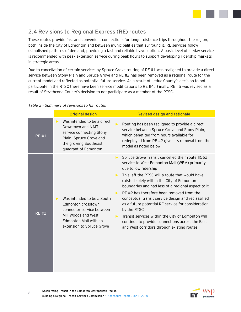

# **2.4 Revisions to Regional Express (RE) routes**

These routes provide fast and convenient connections for longer distance trips throughout the region, both inside the City of Edmonton and between municipalities that surround it. RE services follow established patterns of demand, providing a fast and reliable travel option. A basic level of all-day service is recommended with peak extension service during peak hours to support developing ridership markets in strategic areas.

Due to cancellation of certain services by Spruce Grove routing of RE #1 was realigned to provide a direct service between Stony Plain and Spruce Grove and RE #2 has been removed as a regional route for the current model and reflected as potential future service. As a result of Leduc County's decision to not participate in the RTSC there have been service modifications to RE #4. Finally, RE #5 was revised as a result of Strathcona County's decision to not participate as a member of the RTSC.

|             | <b>Original design</b>                                                                                                                                                              | Revised design and rationale                                                                                                                                                                                                                                                                                                                                                                                                                                                                                                                                                                                                                                                                                      |
|-------------|-------------------------------------------------------------------------------------------------------------------------------------------------------------------------------------|-------------------------------------------------------------------------------------------------------------------------------------------------------------------------------------------------------------------------------------------------------------------------------------------------------------------------------------------------------------------------------------------------------------------------------------------------------------------------------------------------------------------------------------------------------------------------------------------------------------------------------------------------------------------------------------------------------------------|
| <b>RE#1</b> | Was intended to be a direct<br>$\blacktriangleright$<br>Downtown and NAIT<br>service connecting Stony<br>Plain, Spruce Grove and<br>the growing Southeast<br>quadrant of Edmonton   | Routing has been realigned to provide a direct<br>▶<br>service between Spruce Grove and Stony Plain,<br>which benefited from hours available for<br>redeployed from RE #2 given its removal from the<br>model as noted below                                                                                                                                                                                                                                                                                                                                                                                                                                                                                      |
| <b>RE#2</b> | Was intended to be a South<br>$\blacktriangleright$<br>Edmonton crosstown<br>connector service between<br>Mill Woods and West<br>Edmonton Mall with an<br>extension to Spruce Grove | Spruce Grove Transit cancelled their route #562<br>$\blacktriangleright$<br>service to West Edmonton Mall (WEM) primarily<br>due to low ridership<br>This left the RTSC will a route that would have<br>$\blacktriangleright$<br>existed solely within the City of Edmonton<br>boundaries and had less of a regional aspect to it<br>RE #2 has therefore been removed from the<br>$\blacktriangleright$<br>conceptual transit service design and reclassified<br>as a future potential RE service for consideration<br>by the RTSC<br>Transit services within the City of Edmonton will<br>$\blacktriangleright$<br>continue to provide connections across the East<br>and West corridors through existing routes |

#### *Table 2 - Summary of revisions to RE routes*

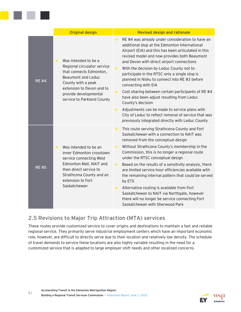|              | <b>Original design</b>                                                                                                                                                                                                                  | Revised design and rationale                                                                                                                                                                                                                                                                                                                                                                                                                                                                                                                                                                                                                                                                                                                                                                     |
|--------------|-----------------------------------------------------------------------------------------------------------------------------------------------------------------------------------------------------------------------------------------|--------------------------------------------------------------------------------------------------------------------------------------------------------------------------------------------------------------------------------------------------------------------------------------------------------------------------------------------------------------------------------------------------------------------------------------------------------------------------------------------------------------------------------------------------------------------------------------------------------------------------------------------------------------------------------------------------------------------------------------------------------------------------------------------------|
| <b>RE#4</b>  | Was intended to be a<br>$\blacktriangleright$<br>Regional circulator service<br>that connects Edmonton,<br>Beaumont and Leduc<br>County with a peak<br>extension to Devon and to<br>provide developmental<br>service to Parkland County | RE #4 was already under consideration to have an<br>$\blacktriangleright$<br>additional stop at the Edmonton International<br>Airport (EIA) and this has been articulated in this<br>revised model and now provides both Beaumont<br>and Devon with direct airport connections<br>With the decision by Leduc County not to<br>$\blacktriangleright$<br>participate in the RTSC only a single stop is<br>planned in Nisku to connect into RE #3 before<br>connecting with EIA<br>Cost sharing between certain participants of RE #4<br>▶<br>have also been adjust resulting from Leduc<br>County's decision<br>Adjustments can be made to service plans with<br>$\blacktriangleright$<br>City of Leduc to reflect removal of service that was<br>previously integrated directly with Leduc County |
| <b>RE #5</b> | Was intended to be an<br>$\blacktriangleright$<br>inner Edmonton crosstown<br>service connecting West<br>Edmonton Mall, NAIT and<br>then direct service to<br>Strathcona County and an<br>extension to Fort<br>Saskatchewan             | This route serving Strathcona County and Fort<br>$\blacktriangleright$<br>Saskatchewan with a connection to NAIT was<br>removed from the conceptual design<br>Without Strathcona County's membership in the<br>$\blacktriangleright$<br>Commission, this is no longer a regional route<br>under the RTSC conceptual design<br>Based on the results of a sensitivity analysis, there<br>$\blacktriangleright$<br>are limited service hour efficiencies available with<br>the remaining internal pattern that could be served<br>by ETS<br>Alternative routing is available from Fort<br>$\blacktriangleright$ .<br>Saskatchewan to NAIT via Northgate, however<br>there will no longer be service connecting Fort<br>Saskatchewan with Sherwood Park                                              |

# **2.5 Revisions to Major Trip Attraction (MTA) services**

These routes provide customized service to cover origins and destinations to maintain a fast and reliable regional service. They primarily serve industrial employment centers which have an important economic role, however, are difficult to directly serve due to their location and relatively low density. The schedule of travel demands to service these locations are also highly variable resulting in the need for a customized service that is adapted to large employer shift needs and other localized concerns.

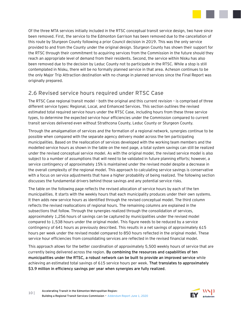

Of the three MTA services initially included in the RTSC conceptual transit service design, two have since been removed. First, the service to the Edmonton Garrison has been removed due to the cancellation of this route by Sturgeon County following a prior Council decision in 2019. This was the only service provided to and from the County under the original design. Sturgeon County has shown their support for the RTSC through their commitment to acquiring services from the Commission in the future should they reach an appropriate level of demand from their residents. Second, the service within Nisku has also been removed due to the decision by Leduc County not to participate in the RTSC. While a stop is still contemplated in Nisku, there will be no formally planned service in that area. Acheson continues to be the only Major Trip Attraction destination with no change in planned services since the Final Report was originally prepared.

# **2.6 Revised service hours required under RTSC Case**

The RTSC Case regional transit model – both the original and this current revision – is comprised of three different service types: Regional, Local, and Enhanced Services. This section outlines the revised estimated total required service hours under the RTSC Case, including hours from these three service types, to determine the expected service hour efficiencies under the Commission compared to current transit services delivered even without Strathcona County, Leduc County or Sturgeon County.

Through the amalgamation of services and the formation of a regional network, synergies continue to be possible when compared with the separate agency delivery model across the ten participating municipalities. Based on the reallocation of services developed with the working team members and the modelled service hours as shown in the table on the next page, a total system savings can still be realized under the revised conceptual service model. As with the original model, the revised service model is also subject to a number of assumptions that will need to be validated in future planning efforts; however, a service contingency of approximately 15% is maintained under the revised model despite a decrease in the overall complexity of the regional model. This approach to calculating service savings is conservative with a focus on service adjustments that have a higher probability of being realized. The following section discusses the fundamental drivers behind those savings and any potential service risks.

The table on the following page reflects the revised allocation of service hours by each of the ten municipalities. It starts with the weekly hours that each municipality produces under their own systems. It then adds new service hours as identified through the revised conceptual model. The third column reflects the revised reallocations of regional hours. The remaining columns are explained in the subsections that follow. Through the synergies realized through the consolidation of services, approximately 1,256 hours of savings can be captured by municipalities under the revised model compared to 1,538 hours under the original model. This figure needs to be reduced by a service contingency of 641 hours as previously described. This results in a net savings of approximately 615 hours per week under the revised model compared to 850 hours reflected in the original model. These service hour efficiencies from consolidating services are reflected in the revised financial model.

This approach allows for the better coordination of approximately 5,500 weekly hours of service that are currently being delivered across the region. **By combining the resources and capabilities of ten municipalities under the RTSC, a robust network can be built to provide an improved service** while achieving an estimated total savings of 615 service hours per week. **That translates to approximately \$3.9 million in efficiency savings per year when synergies are fully realized**.

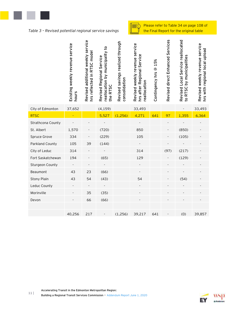

*Table 3 – Revised potential regional service savings*

Please refer to Table 34 on page 108 of the Final Report for the original table

|                    | Existing weekly revenue service<br>hours | Revised additional weekly service<br>hrs reflected in RTSC model | reallocation by municipality to<br>Revised Regional Service<br>the RTSC | Revised savings realized through<br>consolidation | Revised weekly revenue service<br>Service<br>hrs after Regional<br>reallocation | Contingency hrs @ 15% | Revised direct Enhanced Services | Revised Local Service reallocated<br>by municipalities<br>to RTSC | Revised weekly revenue service<br>hrs with regional local upload |
|--------------------|------------------------------------------|------------------------------------------------------------------|-------------------------------------------------------------------------|---------------------------------------------------|---------------------------------------------------------------------------------|-----------------------|----------------------------------|-------------------------------------------------------------------|------------------------------------------------------------------|
| City of Edmonton   | 37,652                                   |                                                                  | (4, 159)                                                                |                                                   | 33,493                                                                          |                       |                                  |                                                                   | 33,493                                                           |
| <b>RTSC</b>        |                                          |                                                                  | 5,527                                                                   | (1, 256)                                          | 4,271                                                                           | 641                   | 97                               | 1,355                                                             | 6,364                                                            |
| Strathcona County  |                                          |                                                                  |                                                                         |                                                   |                                                                                 |                       |                                  |                                                                   |                                                                  |
| St. Albert         | 1,570                                    |                                                                  | (720)                                                                   |                                                   | 850                                                                             |                       |                                  | (850)                                                             |                                                                  |
| Spruce Grove       | 334                                      |                                                                  | (229)                                                                   |                                                   | 105                                                                             |                       |                                  | (105)                                                             |                                                                  |
| Parkland County    | 105                                      | 39                                                               | (144)                                                                   |                                                   |                                                                                 |                       |                                  |                                                                   |                                                                  |
| City of Leduc      | 314                                      |                                                                  |                                                                         |                                                   | 314                                                                             |                       | (97)                             | (217)                                                             |                                                                  |
| Fort Saskatchewan  | 194                                      |                                                                  | (65)                                                                    |                                                   | 129                                                                             |                       |                                  | (129)                                                             |                                                                  |
| Sturgeon County    |                                          |                                                                  |                                                                         |                                                   |                                                                                 |                       |                                  |                                                                   |                                                                  |
| Beaumont           | 43                                       | 23                                                               | (66)                                                                    |                                                   |                                                                                 |                       |                                  |                                                                   |                                                                  |
| <b>Stony Plain</b> | 43                                       | 54                                                               | (43)                                                                    |                                                   | 54                                                                              |                       |                                  | (54)                                                              |                                                                  |
| Leduc County       |                                          |                                                                  |                                                                         |                                                   |                                                                                 |                       |                                  |                                                                   |                                                                  |
| Morinville         |                                          | 35                                                               | (35)                                                                    |                                                   |                                                                                 |                       |                                  |                                                                   |                                                                  |
| Devon              |                                          | 66                                                               | (66)                                                                    |                                                   |                                                                                 |                       |                                  |                                                                   |                                                                  |
|                    | 40,256                                   | 217                                                              |                                                                         | (1,256)                                           | 39,217                                                                          | 641                   |                                  | (0)                                                               | 39,857                                                           |
|                    |                                          |                                                                  |                                                                         |                                                   |                                                                                 |                       |                                  |                                                                   |                                                                  |

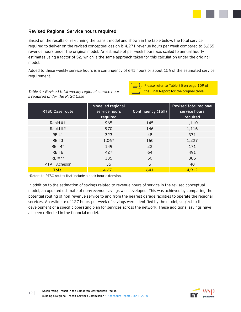

#### **Revised Regional Service hours required**

Based on the results of re-running the transit model and shown in the table below, the total service required to deliver on the revised conceptual design is 4,271 revenue hours per week compared to 5,255 revenue hours under the original model. An estimate of per week hours was scaled to annual hourly estimates using a factor of 52, which is the same approach taken for this calculation under the original model.

Added to these weekly service hours is a contingency of 641 hours or about 15% of the estimated service requirement.



*Table 4 – Revised total weekly regional service hour s required under the RTSC Case*

| <b>RTSC Case route</b> | Modelled regional<br>service hours<br>required | Contingency (15%) | Revised total regional<br>service hours<br>required |
|------------------------|------------------------------------------------|-------------------|-----------------------------------------------------|
| Rapid #1               | 965                                            | 145               | 1,110                                               |
| Rapid #2               | 970                                            | 146               | 1,116                                               |
| <b>RE#1</b>            | 323                                            | 48                | 371                                                 |
| <b>RE#3</b>            | 1,067                                          | 160               | 1,227                                               |
| $RE$ #4*               | 149                                            | 22                | 171                                                 |
| RE #6                  | 427                                            | 64                | 491                                                 |
| RE #7*                 | 335                                            | 50                | 385                                                 |
| MTA - Acheson          | 35                                             | 5                 | 40                                                  |
| <b>Total</b>           | 4,271                                          | 641               | 4,912                                               |

\*Refers to RTSC routes that include a peak hour extension.

In addition to the estimation of savings related to revenue hours of service in the revised conceptual model, an updated estimate of non-revenue savings was developed. This was achieved by comparing the potential routing of non-revenue service to and from the nearest garage facilities to operate the regional services. An estimate of 127 hours per week of savings were identified by the model, subject to the development of a specific operating plan for services across the network. These additional savings have all been reflected in the financial model.

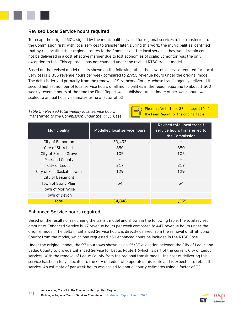

#### **Revised Local Service hours required**

To recap, the original MOU signed by the municipalities called for regional services to be transferred to the Commission first, with local services to transfer later. During this work, the municipalities identified that by reallocating their regional routes to the Commission, the local services they would retain could not be delivered in a cost-effective manner due to lost economies of scale; Edmonton was the only exception to this. This approach has not changed under the revised RTSC transit model.

Based on the revised model results shown on the following table, the new total service required for Local Services is 1,355 revenue hours per week compared to 2,965 revenue hours under the original model. The delta is derived primarily from the removal of Strathcona County, whose transit agency delivered the second highest number of local service hours of all municipalities in the region equating to about 1,500 weekly revenue hours at the time the Final Report was published. An estimate of per week hours was scaled to annual hourly estimates using a factor of 52.

#### *Table 5 – Revised total weekly local service hours transferred to the Commission under the RTSC Case*



Please refer to Table 36 on page 110 of the Final Report for the original table

| Municipality              | Modelled local service hours | <b>Revised total local transit</b><br>service hours transferred to<br>the Commission |
|---------------------------|------------------------------|--------------------------------------------------------------------------------------|
| City of Edmonton          | 33,493                       |                                                                                      |
| City of St. Albert        | 850                          | 850                                                                                  |
| City of Spruce Grove      | 105                          | 105                                                                                  |
| Parkland County           |                              | $\overline{\phantom{a}}$                                                             |
| City of Leduc             | 217                          | 217                                                                                  |
| City of Fort Saskatchewan | 129                          | 129                                                                                  |
| City of Beaumont          | $\overline{\phantom{a}}$     | $\overline{\phantom{a}}$                                                             |
| Town of Stony Plain       | 54                           | 54                                                                                   |
| Town of Morinville        |                              |                                                                                      |
| Town of Devon             | $\overline{\phantom{a}}$     | $\overline{\phantom{a}}$                                                             |
| <b>Total</b>              | 34,848                       | 1,355                                                                                |

#### **Enhanced Service hours required**

Based on the results of re-running the transit model and shown in the following table, the total revised amount of Enhanced Service is 97 revenue hours per week compared to 447 revenue hours under the original model. The delta in Enhanced Service hours is directly derived from the removal of Strathcona County from the model, which had requested 350 enhanced hours be included in the RTSC Case.

Under the original model, the 97 hours was shown as an 65/35 allocation between the City of Leduc and Leduc County to provide Enhanced Service for Leduc Route 1 (which is part of the current City of Leduc service). With the removal of Leduc County from the regional transit model, the cost of delivering this service has been fully allocated to the City of Leduc who operates this route and is expected to retain this service. An estimate of per week hours was scaled to annual hourly estimates using a factor of 52.

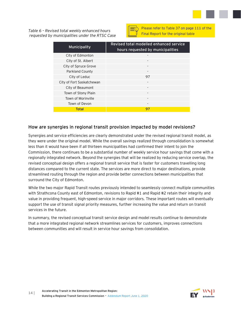*Table 6 – Revised total weekly enhanced hours requested by municipalities under the RTSC Case*



| Municipality              | Revised total modelled enhanced service<br>hours requested by municipalities |
|---------------------------|------------------------------------------------------------------------------|
| City of Edmonton          |                                                                              |
| City of St. Albert        |                                                                              |
| City of Spruce Grove      |                                                                              |
| Parkland County           |                                                                              |
| City of Leduc             | 97                                                                           |
| City of Fort Saskatchewan |                                                                              |
| City of Beaumont          |                                                                              |
| Town of Stony Plain       |                                                                              |
| Town of Morinville        |                                                                              |
| Town of Devon             |                                                                              |
| Total                     | 97                                                                           |

#### **How are synergies in regional transit provision impacted by model revisions?**

Synergies and service efficiencies are clearly demonstrated under the revised regional transit model, as they were under the original model. While the overall savings realized through consolidation is somewhat less than it would have been if all thirteen municipalities had confirmed their intent to join the Commission, there continues to be a substantial number of weekly service hour savings that come with a regionally integrated network. Beyond the synergies that will be realized by reducing service overlap, the revised conceptual design offers a regional transit service that is faster for customers travelling long distances compared to the current state. The services are more direct to major destinations, provide streamlined routing through the region and provide better connections between municipalities that surround the City of Edmonton.

While the two major Rapid Transit routes previously intended to seamlessly connect multiple communities with Strathcona County east of Edmonton, revisions to Rapid #1 and Rapid #2 retain their integrity and value in providing frequent, high-speed service in major corridors. These important routes will eventually support the use of transit signal priority measures, further increasing the value and return on transit services in the future.

In summary, the revised conceptual transit service design and model results continue to demonstrate that a more integrated regional network streamlines services for customers, improves connections between communities and will result in service hour savings from consolidation.

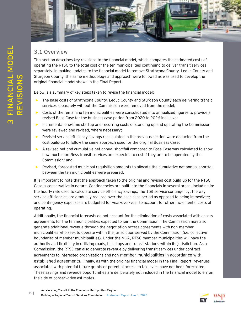

### **3.1 Overview**

<span id="page-16-0"></span>This section describes key revisions to the financial model, which compares the estimated costs of operating the RTSC to the total cost of the ten municipalities continuing to deliver transit services separately. In making updates to the financial model to remove Strathcona County, Leduc County and Sturgeon County, the same methodology and approach were followed as was used to develop the original financial model shown in the Final Report.

Below is a summary of key steps taken to revise the financial model:

- ► The base costs of Strathcona County, Leduc County and Sturgeon County each delivering transit services separately without the Commission were removed from the model;
- ► Costs of the remaining ten municipalities were consolidated into annualized figures to provide a revised Base Case for the business case period from 2020 to 2026 inclusive;
- ► Incremental one-time startup and recurring costs of standing up and operating the Commission were reviewed and revised, where necessary;
- ► Revised service efficiency savings recalculated in the previous section were deducted from the cost build-up to follow the same approach used for the original Business Case;
- ► A revised net and cumulative net annual shortfall compared to Base Case was calculated to show how much more/less transit services are expected to cost if they are to be operated by the Commission; and,
- Revised, forecasted municipal requisition amounts to allocate the cumulative net annual shortfall between the ten municipalities were prepared.

It is important to note that the approach taken to the original and revised cost build-up for the RTSC Case is conservative in nature. Contingencies are built into the financials in several areas, including in: the hourly rate used to calculate service efficiency savings; the 15% service contingency; the way service efficiencies are gradually realized over the base case period as opposed to being immediate; and contingency expenses are budgeted for year-over-year to account for other incremental costs of operating.

Additionally, the financial forecasts do not account for the elimination of costs associated with access agreements for the ten municipalities expected to join the Commission. The Commission may also generate additional revenue through the negotiation access agreements with non-member municipalities who seek to operate within the jurisdiction served by the Commission (i.e. collective boundaries of member municipalities). Under the MGA, RTSC member municipalities will have the authority and flexibility in utilizing roads, bus stops and transit stations within its jurisdiction. As a Commission, the RTSC can also generate revenue by delivering transit services under contract agreements to interested organizations and non-member municipalities in accordance with established agreements. Finally, as with the original financial model in the Final Report, revenues associated with potential future grants or potential access to tax levies have not been forecasted. These savings and revenue opportunities are deliberately not included in the financial model to err on the side of conservative estimates.

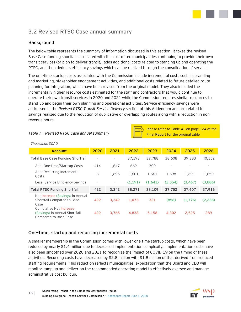

# **3.2 Revised RTSC Case annual summary**

#### **Background**

The below table represents the summary of information discussed in this section. It takes the revised Base Case funding shortfall associated with the cost of ten municipalities continuing to provide their own transit services (or plan to deliver transit), adds additional costs related to standing up and operating the RTSC, and then deducts efficiency savings which can be realized through the consolidation of services.

The one-time startup costs associated with the Commission include incremental costs such as branding and marketing, stakeholder engagement activities, and additional costs related to future detailed route planning for integration, which have been revised from the original model. They also included the incrementally higher resource costs estimated for the staff and contractors that would continue to operate their own transit services in 2020 and 2021 while the Commission requires similar resources to stand-up and begin their own planning and operational activities. Service efficiency savings were addressed in the *Revised RTSC Transit Service Delivery* section of this Addendum and are related to savings realized due to the reduction of duplicative or overlapping routes along with a reduction in nonrevenue hours.

#### *Table 7 – Revised RTSC Case annual summary*

Please refer to Table 41 on page 124 of the Final Report for the original table

**Account 2020 2021 2022 2023 2024 2025 2026 Total Base Case Funding Shortfall** - - 37,198 37,788 38,608 39,383 40,152 Add: One-time/Start-up Costs 414 1,647 662 300 Add: Recurring Incremental Costs <sup>8</sup> 1,695 1,601 1,661 1,698 1,691 1,650 Less: Service Efficiency Savings **- - (1,191) (1,641) (2,554) (3,467) (3,886) Total RTSC Funding Shortfall 422 3,342 38,271 38,109 37,752 37,607 37,916** Net Increase (Savings) in Annual Shortfall Compared to Base Case **422 3,342 1,073 321 (856) (1,776) (2,236)** Cumulative Net Increase (Savings) in Annual Shortfall Compared to Base Case **422 3,765 4,838 5,158 4,302 2,525 289**

#### *Thousands \$CAD*

#### **One-time, startup and recurring incremental costs**

A smaller membership in the Commission comes with lower one-time startup costs, which have been reduced by nearly \$1.4 million due to decreased implementation complexity. Implementation costs have also been smoothed over 2020 and 2021 to recognize the impact of COVID-19 on the timing of these activities. Recurring costs have decreased by \$2.8 million with \$1.8 million of that derived from reduced staffing requirements. This reduction reflects municipalities' expectation that the Board and CEO will monitor ramp up and deliver on the recommended operating model to effectively oversee and manage administrative cost buildup.

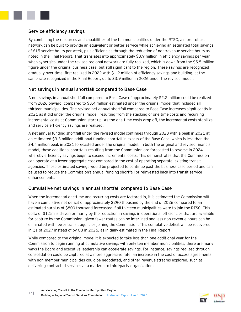

#### **Service efficiency savings**

By combining the resources and capabilities of the ten municipalities under the RTSC, a more robust network can be built to provide an equivalent or better service while achieving an estimated total savings of 615 service hours per week, plus efficiencies through the reduction of non-revenue service hours as noted in the Final Report. That translates into approximately \$3.9 million in efficiency savings per year when synergies under the revised regional network are fully realized, which is down from the \$5.5 million figure under the original business case, but still significant to the region. These savings are recognized gradually over time, first realized in 2022 with \$1.2 million of efficiency savings and building, at the same rate recognized in the Final Report, up to \$3.9 million in 2026 under the revised model.

#### **Net savings in annual shortfall compared to Base Case**

A net savings in annual shortfall compared to Base Case of approximately \$2.2 million could be realized from 2026 onward, compared to \$3.4 million estimated under the original model that included all thirteen municipalities. The revised net annual shortfall compared to Base Case increases significantly in 2021 as it did under the original model, resulting from the stacking of one-time costs and recurring incremental costs at Commission start-up. As the one-time costs drop off, the incremental costs stabilize, and service efficiency savings are realized.

A net annual funding shortfall under the revised model continues through 2023 with a peak in 2021 at an estimated \$3.3 million additional funding shortfall in excess of the Base Case, which is less than the \$4.4 million peak in 2021 forecasted under the original model. In both the original and revised financial model, these additional shortfalls resulting from the Commission are forecasted to reverse in 2024 whereby efficiency savings begin to exceed incremental costs. This demonstrates that the Commission can operate at a lower aggregate cost compared to the cost of operating separate, existing transit agencies. These estimated savings would be projected to continue past the business case period and can be used to reduce the Commission's annual funding shortfall or reinvested back into transit service enhancements.

#### **Cumulative net savings in annual shortfall compared to Base Case**

When the incremental one-time and recurring costs are factored in, it is estimated the Commission will have a cumulative net deficit of approximately \$290 thousand by the end of 2026 compared to an estimated surplus of \$800 thousand forecasted if all thirteen municipalities were to join the RTSC. This delta of \$1.1m is driven primarily by the reduction in savings in operational efficiencies that are available for capture by the Commission, given fewer routes can be interlined and less non-revenue hours can be eliminated with fewer transit agencies joining the Commission. This cumulative deficit will be recovered in Q1 of 2027 instead of by Q3 in 2026, as initially estimated in the Final Report.

While compared to the original model it is expected to take less than one additional year for the Commission to begin running at cumulative savings with only ten member municipalities, there are many ways the Board and executive leadership can accelerate savings. For instance, savings realized through consolidation could be captured at a more aggressive rate, an increase in the cost of access agreements with non-member municipalities could be negotiated, and other revenue streams explored, such as delivering contracted services at a mark-up to third-party organizations.

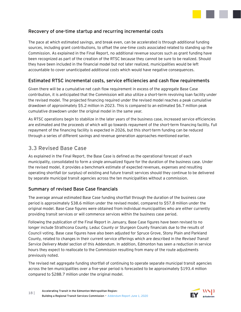

#### **Recovery of one-time startup and recurring incremental costs**

The pace at which estimated savings, and break even, can be accelerated is through additional funding sources, including grant contributions, to offset the one-time costs associated related to standing up the Commission. As explained in the Final Report, no additional revenue sources such as grant funding have been recognized as part of the creation of the RTSC because they cannot be sure to be realized. Should they have been included in the financial model but not later realized, municipalities would be left accountable to cover unanticipated additional costs which would have negative consequences.

#### **Estimated RTSC incremental costs, service efficiencies and cash flow requirements**

Given there will be a cumulative net cash flow requirement in excess of the aggregate Base Case contribution, it is anticipated that the Commission will also utilize a short-term revolving loan facility under the revised model. The projected financing required under the revised model reaches a peak cumulative drawdown of approximately \$5.2 million in 2023. This is compared to an estimated \$6.7 million peak cumulative drawdown under the original model in the same year.

As RTSC operations begin to stabilize in the later years of the business case, increased service efficiencies are estimated and the proceeds of which will go towards repayment of the short-term financing facility. Full repayment of the financing facility is expected in 2026, but this short-term funding can be reduced through a series of different savings and revenue generation approaches mentioned earlier.

# **3.3 Revised Base Case**

As explained in the Final Report, the Base Case is defined as the operational forecast of each municipality, consolidated to form a single annualized figure for the duration of the business case. Under the revised model, it provides a benchmark estimate of expected revenues, expenses and resulting operating shortfall (or surplus) of existing and future transit services should they continue to be delivered by separate municipal transit agencies across the ten municipalities without a commission.

#### **Summary of revised Base Case financials**

The average annual estimated Base Case funding shortfall through the duration of the business case period is approximately \$38.6 million under the revised model, compared to \$57.8 million under the original model. Base Case figures were obtained from individual municipalities who are either currently providing transit services or will commence services within the business case period.

Following the publication of the Final Report in January, Base Case figures have been revised to no longer include Strathcona County, Leduc County or Sturgeon County financials due to the results of Council voting. Base case figures have also been adjusted for Spruce Grove, Stony Plain and Parkland County, related to changes in their current service offerings which are described in the *Revised Transit Service Delivery Model* section of this Addendum. In addition, Edmonton has seen a reduction in service hours they expect to reallocate to the Commission resulting from many of the route adjustments previously noted.

The revised net aggregate funding shortfall of continuing to operate separate municipal transit agencies across the ten municipalities over a five-year period is forecasted to be approximately \$193.4 million compared to \$288.7 million under the original model.

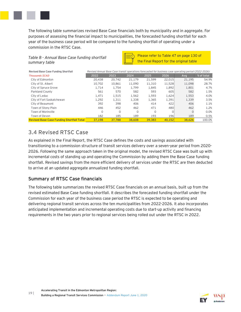

The following table summarizes revised Base Case financials both by municipality and in aggregate. For purposes of assessing the financial impact to municipalities, the forecasted funding shortfall for each year of the business case period will be compared to the funding shortfall of operating under a commission in the RTSC Case.



| Table 8 - Annual Base Case funding shortfall<br>summary table | Please refer to Table 47 on page 130 of<br>the Final Report for the original table                    |          |          |        |                  |          |            |
|---------------------------------------------------------------|-------------------------------------------------------------------------------------------------------|----------|----------|--------|------------------|----------|------------|
| Revised Base Case Funding Shortfall                           | Revised Annual Base Case transit operations forecasted for business case operating period (2022-2026) |          |          |        |                  |          |            |
| <b>Thousands SCAD</b>                                         | 2022                                                                                                  | 2023     | 2024     | 2025   | 2026             | Ava      | % of total |
| City of Edmonton                                              | 20,438                                                                                                | 20,742   | 21,179   | 21,599 | 22,015           | 21,195   | 54.9%      |
| City of St. Albert                                            | 10,702                                                                                                | 10,861   | 11.090   | 11,310 | 11,528           | 11,098   | 28.7%      |
| City of Spruce Grove                                          | 1.714                                                                                                 | 1.754    | 1.799    | 1.845  | 1.892            | 1,801    | 4.7%       |
| Parkland County                                               | 561                                                                                                   | 570      | 582      | 593    | 605              | 582      | 1.5%       |
| City of Leduc                                                 | 1.471                                                                                                 | 1,515    | 1,562    | 1,593  | 1,624            | 1,553    | 4.0%       |
| City of Fort Saskatchewan                                     | 1.292                                                                                                 | 1,311    | 1,338    | 1.365  | 1,391            | 1,339    | 3.5%       |
| City of Beaumont                                              | 392                                                                                                   | 398      | 406      | 414    | 422              | 406      | 1.1%       |
| Town of Stony Plain                                           | 446                                                                                                   | 452      | 462      | 471    | 480 <sup>1</sup> | 462      | 1.2%       |
| Town of Morinville                                            | O                                                                                                     | $\Omega$ | $\Omega$ | O      | $\Omega$         | $\Omega$ | 0.0%       |
| Town of Devon                                                 | 182                                                                                                   | 185      | 189      | 193    | 196              | 189      | 0.5%       |
| <b>Revised Base Case Funding Shortfall Total</b>              | 37,198                                                                                                | 37,788   | 38,608   | 39,383 | 40.152           | 38,626   | 100.0%     |

# **3.4 Revised RTSC Case**

As explained in the Final Report, the RTSC Case defines the costs and savings associated with transitioning to a commission structure of transit services delivery over a seven-year period from 2020- 2026. Following the same approach taken in the original model, the revised RTSC Case was built up with incremental costs of standing up and operating the Commission by adding them the Base Case funding shortfall. Revised savings from the more efficient delivery of services under the RTSC are then deducted to arrive at an updated aggregate annualized funding shortfall.

#### **Summary of RTSC Case financials**

The following table summarizes the revised RTSC Case financials on an annual basis, built up from the revised estimated Base Case funding shortfall. It describes the forecasted funding shortfall under the Commission for each year of the business case period the RTSC is expected to be operating and delivering regional transit services across the ten municipalities from 2022-2026. It also incorporates anticipated implementation and incremental operating costs due to start-up activity and financing requirements in the two years prior to regional services being rolled out under the RTSC in 2022.

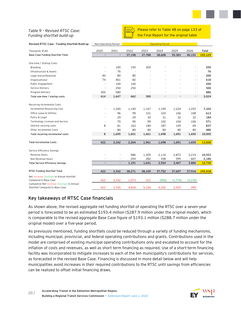

#### *Table 9 – Revised RTSC Case: Funding shortfall build-up*



Please refer to Table 48 on page 133 of the Final Report for the original table

| Revised RTSC Case - Funding Shortfall Build-up | Non-Operating Period          |                          | <b>Operating Period</b>  |           |           |           |                          |            |
|------------------------------------------------|-------------------------------|--------------------------|--------------------------|-----------|-----------|-----------|--------------------------|------------|
| Thousands \$CAD                                | 2020                          | 2021                     | 2022                     | 2023      | 2024      | 2025      | 2026                     | Total      |
| Base Case Funding Shortfall Total              | $\overline{\phantom{a}}$      | $\overline{\phantom{a}}$ | 37,198                   | 37,788    | 38,608    | 39,383    | 40,152                   | 193,129    |
|                                                |                               |                          |                          |           |           |           |                          |            |
| One-time / Startup Costs                       |                               |                          |                          |           |           |           |                          |            |
| <b>Branding</b>                                | $\overline{\phantom{a}}$      | 100                      | 150                      | 300       |           |           |                          | 550        |
| Infrastructure & Assets                        | $\overline{\phantom{a}}$      | 76                       | $\overline{\phantom{a}}$ |           |           |           | ÷.                       | 76         |
| Legal and professional                         | 40                            | 80                       | 80                       |           |           |           | ٠                        | 200        |
| Organizational                                 | 74                            | 461                      | 82                       |           |           |           | ÷,                       | 618        |
| Public Engagement                              | $\overline{\phantom{a}}$      | 100                      | 100                      |           |           |           | ä,                       | 200        |
| Service Delivery                               | $\overline{a}$                | 250                      | 250                      |           |           |           | $\overline{\phantom{0}}$ | 500        |
| Program Delivery                               | 300                           | 580                      |                          |           |           |           | $\overline{\phantom{m}}$ | 880        |
| Total one-time / startup costs                 | 414                           | 1,647                    | 662                      | 300       |           |           | $\sim$                   | 3,024      |
| Recurring Incremental Costs                    |                               |                          |                          |           |           |           |                          |            |
| Incremental Resourcing Cost                    |                               | 1,340                    | 1,140                    | 1,167     | 1,195     | 1,224     | 1,253                    | 7,320      |
|                                                |                               |                          |                          |           |           |           |                          |            |
| Office Lease & Utilities                       |                               | 96<br>29                 | 99<br>29                 | 101<br>30 | 103<br>31 | 106<br>32 | 108<br>32                | 613<br>184 |
| Policy & Legal                                 | $\overline{a}$                | 70                       |                          |           |           |           |                          |            |
| Technology Licenses and Service                |                               |                          | 90                       | 99        | 102       | 104       | 106<br>69                | 571        |
| Interest carrying costs                        | 8<br>$\overline{\phantom{a}}$ | 81                       | 163                      | 184       | 187       | 145       |                          | 837        |
| Other Incremental Costs                        |                               | 80                       | 80                       | 80        | 80        | 80        | 80                       | 480        |
| Total recurring incremental costs              | 8                             | 1,695                    | 1,601                    | 1,661     | 1,698     | 1,691     | 1,650                    | 10,005     |
| <b>Total Incremental Costs</b>                 | 422                           | 3,342                    | 2,264                    | 1,961     | 1,698     | 1,691     | 1,650                    | 13,028     |
|                                                |                               |                          |                          |           |           |           |                          |            |
| Service Efficiency Savings                     |                               |                          |                          |           |           |           |                          |            |
| Revenue Hours                                  |                               | ٠                        | 986                      | 1,359     | 2,116     | 2,872     | 3,219                    | 10,553     |
| Non-Revenue Hours                              |                               |                          | 204                      | 282       | 438       | 595       | 667                      | 2,186      |
| <b>Total Service Efficiency Savings</b>        |                               | ÷,                       | 1,191                    | 1,641     | 2,554     | 3,467     | 3,886                    | 12,739     |
| RTSC Funding Shortfall Total                   | 422                           | 3,342                    | 38,271                   | 38,109    | 37,752    | 37,607    | 37,916                   | 193,418    |
| Net Increase (Savings) in Annual shortfall     |                               |                          |                          |           |           |           |                          |            |
| Compared to Base Case                          | 422                           | 3,342                    | 1,073                    | 321       | (856)     | (1,776)   | (2, 236)                 |            |
| Cumulative Net Increase (Savings) in Annual    |                               |                          |                          |           |           |           |                          |            |
| Shortfall Compared to Base Case                | 422                           | 3,765                    | 4,838                    | 5,158     | 4,302     | 2,525     | 289                      |            |

#### **Key takeaways of RTSC Case financials**

As shown above, the revised aggregate net funding shortfall of operating the RTSC over a seven-year period is forecasted to be an estimated \$193.4 million (\$287.9 million under the original model), which is comparable to the revised aggregate Base Case figure of \$193.1 million (\$288.7 million under the original model) over a five-year period.

As previously mentioned, funding shortfalls could be reduced through a variety of funding mechanisms, including municipal, provincial, and federal operating contributions and grants. Contributions used in the model are comprised of existing municipal operating contributions only and escalated to account for the inflation of costs and revenues, as well as short term financing as required. Use of a short-term financing facility was incorporated to mitigate increases to each of the ten municipality's contributions for services, as forecasted in the revised Base Case. Financing is discussed in more detail below and will help municipalities avoid increases in their required contributions to the RTSC until savings from efficiencies can be realized to offset initial financing draws.

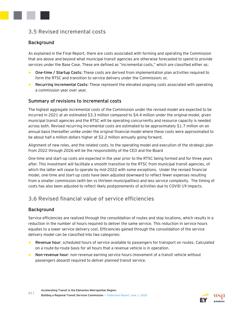

#### **Background**

As explained in the Final Report, there are costs associated with forming and operating the Commission that are above and beyond what municipal transit agencies are otherwise forecasted to spend to provide services under the Base Case. These are defined as "incremental costs," which are classified either as:

- ► **One-time / Startup Costs:** These costs are derived from implementation plan activities required to form the RTSC and transition to service delivery under the Commission; or,
- ► **Recurring Incremental Costs:** These represent the elevated ongoing costs associated with operating a commission year over year.

#### **Summary of revisions to incremental costs**

The highest aggregate incremental costs of the Commission under the revised model are expected to be incurred in 2021 at an estimated \$3.3 million compared to \$4.4 million under the original model, given municipal transit agencies and the RTSC will be operating concurrently and resource capacity is needed across both. Revised recurring incremental costs are estimated to be approximately \$1.7 million on an annual basis thereafter unlike under the original financial model where these costs were approximated to be about half a million dollars higher at \$2.2 million annually going forward.

Alignment of new roles, and the related costs, to the operating model and execution of the strategic plan from 2022 through 2026 will be the responsibility of the CEO and the Board

One-time and start-up costs are expected in the year prior to the RTSC being formed and for three years after. This investment will facilitate a smooth transition to the RTSC from municipal transit agencies, of which the latter will cease to operate by mid-2022 with some exceptions. Under the revised financial model, one-time and start-up costs have been adjusted downward to reflect fewer expenses resulting from a smaller commission (with ten vs thirteen municipalities) and less service complexity. The timing of costs has also been adjusted to reflect likely postponements of activities due to COVID-19 impacts.

# **3.6 Revised financial value of service efficiencies**

#### **Background**

Service efficiencies are realized through the consolidation of routes and stop locations, which results in a reduction in the number of hours required to deliver the same service. This reduction in service hours equates to a lower service delivery cost. Efficiencies gained through the consolidation of the service delivery model can be classified into two categories:

- ► **Revenue hour**: scheduled hours of service available to passengers for transport on routes. Calculated on a route-by-route basis for all hours that a revenue vehicle is in operation.
- ► **Non-revenue hour**: non-revenue earning service hours (movement of a transit vehicle without passengers aboard) required to deliver planned transit service.

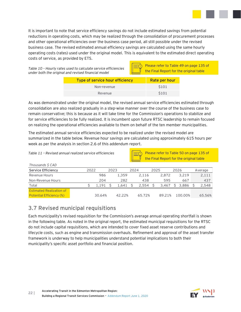

It is important to note that service efficiency savings do not include estimated savings from potential reductions in operating costs, which may be realized through the consolidation of procurement processes and other operational efficiencies over the business case period, all still possible under the revised business case. The revised estimated annual efficiency savings are calculated using the same hourly operating costs (rates) used under the original model. This is equivalent to the estimated direct operating costs of service, as provided by ETS.

*Table 10 – Hourly rates used to calculate service efficiencies under both the original and revised financial model*

Please refer to Table 49 on page 135 of the Final Report for the original table

| Type of service hour efficiency | Rate per hour    |
|---------------------------------|------------------|
| Non-revenue                     | S <sub>101</sub> |
| Revenue                         | S <sub>101</sub> |

As was demonstrated under the original model, the revised annual service efficiencies estimated through consolidation are also realized gradually in a step-wise manner over the course of the business case to remain conservative; this is because as it will take time for the Commission's operations to stabilize and for service efficiencies to be fully realized. It is incumbent upon future RTSC leadership to remain focused on realizing the operational efficiencies available to them on behalf of the ten member municipalities.

The estimated annual service efficiencies expected to be realized under the revised model are summarized in the table below. Revenue hour savings are calculated using approximately 615 hours per week as per the analysis in section 2.6 of this addendum report.

*Table 11 – Revised annual realized service efficiencies*

*Thousands \$ CAD*

Please refer to Table 50 on page 135 of the Final Report for the original table

| Thousands 5 CAD                                                    |      |        |      |        |      |        |      |        |      |         |         |
|--------------------------------------------------------------------|------|--------|------|--------|------|--------|------|--------|------|---------|---------|
| Service Efficiency                                                 | 2022 |        | 2023 |        | 2024 |        | 2025 |        | 2026 |         | Average |
| Revenue Hours                                                      |      | 986    |      | 1.359  |      | 2.116  |      | 2.872  |      | 3.219   | 2,111   |
| Non-Revenue Hours                                                  |      | 204    |      | 282    |      | 438    |      | 595    |      | 667     | 437     |
| Total                                                              |      | 1.191  |      | 1.641  |      | 2.554  |      | 3.467  |      | 3.886   | 2,548   |
| <b>Estimated Realization of</b><br><b>Potential Efficiency (%)</b> |      | 30.64% |      | 42.22% |      | 65.72% |      | 89.21% |      | 100.00% | 65.56%  |
|                                                                    |      |        |      |        |      |        |      |        |      |         |         |

# **3.7 Revised municipal requisitions**

Each municipality's revised requisition for the Commission's average annual operating shortfall is shown in the following table. As noted in the original report, the estimated municipal requisitions for the RTSC do not include capital requisitions, which are intended to cover fixed asset reserve contributions and lifecycle costs, such as engine and transmission overhauls. Refinement and approval of the asset transfer framework is underway to help municipalities understand potential implications to both their municipality's specific asset portfolio and financial position.

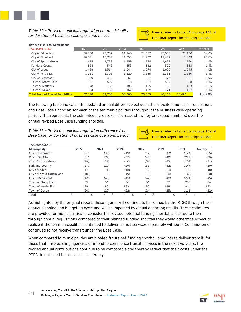

#### *Table 12 – Revised municipal requisition per municipality for duration of business case operating period*



Please refer to Table 54 on page 141 of the Final Report for the original table

| Table 12 - Revised municipal requisition per municipality<br>for duration of business case operating period |        |        |        |        |        | Please refer to Table 54 on page 141<br>the Final Report for the original table |            |
|-------------------------------------------------------------------------------------------------------------|--------|--------|--------|--------|--------|---------------------------------------------------------------------------------|------------|
| <b>Revised Municipal Requisitions</b>                                                                       |        |        |        |        |        |                                                                                 |            |
| <b>Thousands \$CAD</b>                                                                                      | 2022   | 2023   | 2024   | 2025   | 2026   | Ava                                                                             | % of total |
| City of Edmonton                                                                                            | 20,388 | 20,707 | 21,160 | 21,587 | 22,008 | 21,170                                                                          | 54.8%      |
| City of St. Albert                                                                                          | 10,621 | 10,789 | 11,033 | 11,262 | 11,487 | 11,039                                                                          | 28.6%      |
| City of Spruce Grove                                                                                        | 1,695  | 1,723  | 1,759  | 1,794  | 1,829  | 1,760                                                                           | 4.6%       |
| Parkland County                                                                                             | 534    | 543    | 553    | 562    | 572    | 553                                                                             | 1.4%       |
| City of Leduc                                                                                               | 1,488  | 1,514  | 1,544  | 1,574  | 1,605  | 1,545                                                                           | 4.0%       |
| City of Fort Sask                                                                                           | 1,281  | 1,303  | 1,329  | 1,355  | 1,381  | 1,330                                                                           | 3.4%       |
| City of Beaumont                                                                                            | 350    | 355    | 361    | 367    | 374    | 361                                                                             | 0.9%       |
| Town of Stony Plain                                                                                         | 501    | 509    | 518    | 527    | 537    | 518                                                                             | 1.3%       |
| Town of Morinville                                                                                          | 178    | 180    | 183    | 185    | 188    | 183                                                                             | 0.5%       |
| Town of Devon                                                                                               | 163    | 165    | 167    | 169    | 171    | 167                                                                             | 0.4%       |
| <b>Total Revised Annual Requisition</b>                                                                     | 37,198 | 37,788 | 38,608 | 39,383 | 40.152 | 38,626                                                                          | 100.00%    |
|                                                                                                             |        |        |        |        |        |                                                                                 |            |

The following table indicates the updated annual difference between the allocated municipal requisitions and Base Case financials for each of the ten municipalities throughout the business case operating period. This represents the estimated increase (or decrease shown by bracketed numbers) over the annual revised Base Case funding shortfall.



|                           | Table 13 - Revised municipal requisition difference from |      |      |        | Please refer to Table 55 on page 142 |                                         |         |  |  |  |  |
|---------------------------|----------------------------------------------------------|------|------|--------|--------------------------------------|-----------------------------------------|---------|--|--|--|--|
|                           | Base Case for duration of business case operating period |      |      |        |                                      | the Final Report for the original table |         |  |  |  |  |
| Thousands \$CAD           |                                                          |      |      |        |                                      |                                         |         |  |  |  |  |
| Municipality              | 2022                                                     | 2023 | 2024 | 2025   | 2026                                 | Total                                   | Average |  |  |  |  |
| City of Edmonton          | (51)                                                     | (35) | (19) | (12)   | (7)                                  | (124)                                   | (25)    |  |  |  |  |
| City of St. Albert        | (81)                                                     | (72) | (57) | (48)   | (40)                                 | (299)                                   | (60)    |  |  |  |  |
| City of Spruce Grove      | (19)                                                     | (31) | (40) | (51)   | (63)                                 | (203)                                   | (41)    |  |  |  |  |
| <b>Parkland County</b>    | (27)                                                     | (27) | (29) | (31)   | (32)                                 | (147)                                   | (29)    |  |  |  |  |
| City of Leduc             | 17                                                       | (1)  | (18) | (19)   | (19)                                 | (38)                                    | (8)     |  |  |  |  |
| City of Fort Saskatchewan | (10)                                                     | (8)  | (9)  | (10)   | (10)                                 | (48)                                    | (10)    |  |  |  |  |
| City of Beaumont          | (42)                                                     | (42) | (45) | (47)   | (48)                                 | (224)                                   | (45)    |  |  |  |  |
| Town of Stony Plain       | 55                                                       | 56   | 56   | 56     | 57                                   | 280                                     | 56      |  |  |  |  |
| Town of Morinville        | 178                                                      | 180  | 183  | 185    | 188                                  | 914                                     | 183     |  |  |  |  |
| Town of Devon             | (20)                                                     | (20) | (22) | (24)   | (25)                                 | (111)                                   | (22)    |  |  |  |  |
| <b>Total</b>              | Ś<br>٠                                                   |      | Ś    | Ś<br>٠ | Ś<br>٠                               |                                         | ۰       |  |  |  |  |

As highlighted by the original report, these figures will continue to be refined by the RTSC through their annual planning and budgeting cycle and will be impacted by actual operating results. These estimates are provided for municipalities to consider the revised potential funding shortfall allocated to them through annual requisitions compared to their planned funding shortfall they would otherwise expect to realize if the ten municipalities continued to deliver transit services separately without a Commission or continued to not receive transit under the Base Case.

When compared to municipalities anticipated future net funding shortfall amounts to deliver transit, for those that have existing agencies or intend to commence transit services in the next two years, the revised annual contributions continue to be comparable and thereby reflect that their costs under the RTSC do not need to increase considerably.

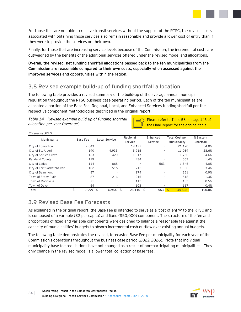

For those that are not able to receive transit services without the support of the RTSC, the revised costs associated with obtaining those services also remain reasonable and provide a lower cost of entry than if they were to provide the services on their own.

Finally, for those that are increasing service levels because of the Commission, the incremental costs are outweighed by the benefits of the additional services offered under the revised model and allocations.

**Overall, the revised, net funding shortfall allocations passed back to the ten municipalities from the Commission are reasonable compared to their own costs, especially when assessed against the improved services and opportunities within the region.**

# **3.8 Revised example build-up of funding shortfall allocation**

The following table provides a revised summary of the build-up of the average annual municipal requisition throughout the RTSC business case operating period. Each of the ten municipalities are allocated a portion of the Base Fee, Regional, Local, and Enhanced Services funding shortfall per the respective component methodologies described in the original report.

*Table 14 – Revised example build-up of funding shortfall allocation per year (average)*

Please refer to Table 56 on page 143 of the Final Report for the original table

| anocation per year (average) |                 |                      |                     | the Final Report for the original table |                                       |                       |  |  |  |  |
|------------------------------|-----------------|----------------------|---------------------|-----------------------------------------|---------------------------------------|-----------------------|--|--|--|--|
| Thousands \$CAD              |                 |                      |                     |                                         |                                       |                       |  |  |  |  |
| Municipality                 | <b>Base Fee</b> | <b>Local Service</b> | Regional<br>Service | Enhanced<br>Service                     | <b>Total Cost per</b><br>Municipality | % System<br>Shortfall |  |  |  |  |
| City of Edmonton             | 2,043           |                      | 19,127              |                                         | 21,170                                | 54.8%                 |  |  |  |  |
| City of St. Albert           | 190             | 4,933                | 5,915               |                                         | 11,039                                | 28.6%                 |  |  |  |  |
| City of Spruce Grove         | 123             | 420                  | 1,217               |                                         | 1.760                                 | 4.6%                  |  |  |  |  |
| Parkland County              | 119             |                      | 434                 |                                         | 553                                   | 1.4%                  |  |  |  |  |
| City of Leduc                | 114             | 868                  |                     | 563                                     | 1,545                                 | 4.0%                  |  |  |  |  |
| City of Fort Saskatchewan    | 102             | 516                  | 712                 |                                         | 1,330                                 | 3.4%                  |  |  |  |  |
| City of Beaumont             | 87              |                      | 274                 |                                         | 361                                   | 0.9%                  |  |  |  |  |
| Town of Stony Plain          | 87              | 216                  | 215                 |                                         | 518                                   | 1.3%                  |  |  |  |  |
| Town of Morinville           | 71              |                      | 112                 |                                         | 183                                   | 0.5%                  |  |  |  |  |
| Town of Devon                | 64              |                      | 103                 |                                         | 167                                   | 0.4%                  |  |  |  |  |
| Total                        | \$<br>2,999     | Ŝ.<br>6,954          | 28,110 \$<br>Ś      | 563                                     | Ś<br>38.626                           | 100.0%                |  |  |  |  |

# **3.9 Revised Base Fee Forecasts**

As explained in the original report, the Base Fee is intended to serve as a 'cost of entry' to the RTSC and is composed of a variable (\$2 per capita) and fixed (\$50,000) component. The structure of the fee and proportions of fixed and variable components were designed to balance a reasonable fee against the capacity of municipalities' budgets to absorb incremental cash outflow over existing annual budgets.

The following table demonstrates the revised, forecasted Base Fee per municipality for each year of the Commission's operations throughout the business case period (2022-2026). Note that individual municipality base fee requisitions have not changed as a result of non-participating municipalities. They only change in the revised model is a lower total collection of base fees.

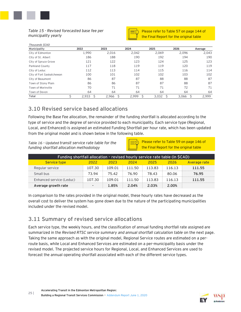

*Table 15 - Revised forecasted base fee per municipality yearly*



Please refer to Table 57 on page 144 of the Final Report for the original table

| Thousands \$CAD           |       |       |            |       |            |         |
|---------------------------|-------|-------|------------|-------|------------|---------|
| Municipality              | 2022  | 2023  | 2024       | 2025  | 2026       | Average |
| City of Edmonton          | 1,990 | 2,016 | 2,042      | 2,069 | 2,096      | 2,043   |
| City of St. Albert        | 186   | 188   | 190        | 192   | 194        | 190     |
| City of Spruce Grove      | 121   | 122   | 123        | 124   | 125        | 123     |
| Parkland County           | 117   | 118   | 119        | 119   | 120        | 119     |
| City of Leduc             | 112   | 113   | 114        | 115   | 116        | 114     |
| City of Fort Saskatchewan | 100   | 101   | 102        | 102   | 103        | 102     |
| City of Beaumont          | 86    | 87    | 87         | 88    | 88         | 87      |
| Town of Stony Plain       | 86    | 86    | 87         | 87    | 88         | 87      |
| Town of Morinville        | 70    | 71    | 71         | 71    | 72         | 71      |
| Town of Devon             | 64    | 64    | 64         | 64    | 64         | 64      |
| Total                     | 2,933 | 2.966 | 2,999<br>Ŝ | 3,032 | $3,066$ \$ | 2,999   |

# **3.10 Revised service based allocations**

Following the Base Fee allocation, the remainder of the funding shortfall is allocated according to the type of service and the degree of service provided to each municipality. Each service type (Regional, Local, and Enhanced) is assigned an estimated Funding Shortfall per hour rate, which has been updated from the original model and is shown below in the following table.

*Table 16 – Updated transit service rate table for the funding shortfall allocation methodology*

| $\overline{\Xi(1)}$ Please refer to Table 59 on page 146 of<br>I the Final Report for the original table |
|----------------------------------------------------------------------------------------------------------|
|                                                                                                          |

| Funding shortfall allocation - revised hourly service rate table (in \$CAD) |                          |        |        |        |        |              |  |  |  |
|-----------------------------------------------------------------------------|--------------------------|--------|--------|--------|--------|--------------|--|--|--|
| <b>Service type</b>                                                         | 2022                     | 2023   | 2024   | 2025   | 2026   | Average rate |  |  |  |
| Regular service                                                             | 107.30                   | 109.01 | 111.50 | 113.83 | 116.13 | 111.55       |  |  |  |
| Small bus                                                                   | 73.94                    | 75.42  | 76.90  | 78.43  | 80.06  | 76.95        |  |  |  |
| Enhanced service (Leduc)                                                    | 107.30                   | 109.01 | 111.50 | 113.83 | 116.13 | 111.55       |  |  |  |
| Average growth rate                                                         | $\overline{\phantom{0}}$ | 1.85%  | 2.04%  | 2.03%  | 2.00%  |              |  |  |  |

E

In comparison to the rates provided in the original model, these hourly rates have decreased as the overall cost to deliver the system has gone down due to the nature of the participating municipalities included under the revised model.

# **3.11 Summary of revised service allocations**

Each service type, the weekly hours, and the classification of annual funding shortfall rate assigned are summarized in the *Revised RTSC service summary and annual shortfall calculation table* on the next page. Taking the same approach as with the original model, Regional Service routes are estimated on a perroute basis, while Local and Enhanced Services are estimated on a per-municipality basis under the revised model. The projected service hours for Regional, Local, and Enhanced Services are used to forecast the annual operating shortfall associated with each of the different service types.

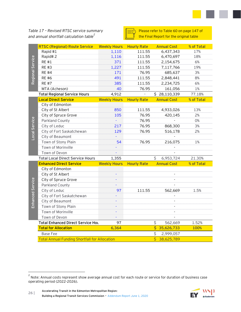*Table 17 – Revised RTSC service summary and annual shortfall calculation table<sup>2</sup>*

| $\equiv$ Please refer to Table 60 on page 147 of<br>$\equiv$ the Final Report for the original table |
|------------------------------------------------------------------------------------------------------|
|                                                                                                      |

|                  | <b>RTSC (Regional) Route Service</b>                 | <b>Weekly Hours</b> | <b>Hourly Rate</b>       | <b>Annual Cost</b>                    | % of Total |
|------------------|------------------------------------------------------|---------------------|--------------------------|---------------------------------------|------------|
|                  | Rapid #1                                             | 1,110               | 111.55                   | 6,437,343                             | 17%        |
|                  | Rapid#2                                              | 1,116               | 111.55                   | 6,470,697                             | 18%        |
|                  | <b>RE#1</b>                                          | 371                 | 111.55                   | 2,154,675                             | 6%         |
|                  | <b>RE#3</b>                                          | 1,227               | 111.55                   | 7,117,766                             | 19%        |
|                  | <b>RE#4</b>                                          | 171                 | 76.95                    | 685,637                               | 3%         |
| Regional Service | <b>RE#6</b>                                          | 491                 | 111.55                   | 2,848,441                             | 8%         |
|                  | <b>RE#7</b>                                          | 385                 | 111.55                   | 2,234,725                             | 6%         |
|                  | MTA (Acheson)                                        | 40                  | 76.95                    | 161,056                               | 1%         |
|                  | <b>Total Regional Service Hours</b>                  | 4,912               | $\overline{\phantom{a}}$ | \$28,110,339                          | 77.18%     |
|                  | <b>Local Direct Service</b>                          | <b>Weekly Hours</b> | <b>Hourly Rate</b>       | <b>Annual Cost</b>                    | % of Total |
|                  | City of Edmonton                                     |                     |                          |                                       |            |
|                  | City of St Albert                                    | 850                 | 111.55                   | 4,933,026                             | 13%        |
|                  | City of Spruce Grove                                 | 105                 | 76.95                    | 420,145                               | 2%         |
|                  | Parkland County                                      |                     | 76.95                    |                                       | O%         |
|                  | City of Leduc                                        | 217                 | 76.95                    | 868,300                               | 3%         |
|                  | City of Fort Saskatchewan                            | 129                 | 76.95                    | 516,178                               | 2%         |
| Local Service    | City of Beaumont                                     |                     |                          |                                       |            |
|                  | Town of Stony Plain                                  | 54                  | 76.95                    | 216,075                               | 1%         |
|                  | Town of Morinville                                   |                     |                          |                                       |            |
|                  | Town of Devon                                        |                     |                          |                                       |            |
|                  | <b>Total Local Direct Service Hours</b>              | 1,355               |                          | Ś.<br>6,953,724                       | 21.30%     |
|                  | <b>Enhanced Direct Service</b>                       | <b>Weekly Hours</b> | <b>Hourly Rate</b>       | <b>Annual Cost</b>                    | % of Total |
|                  | City of Edmonton                                     |                     |                          |                                       |            |
|                  | City of St Albert                                    | L,                  |                          | $\overline{a}$                        |            |
|                  | City of Spruce Grove                                 |                     |                          | $\overline{\phantom{a}}$              |            |
|                  | Parkland County                                      |                     |                          |                                       |            |
| Enhanced Service | City of Leduc                                        | 97                  | 111.55                   | 562,669                               | 1.5%       |
|                  | City of Fort Saskatchewan                            |                     |                          |                                       |            |
|                  | City of Beaumont                                     |                     |                          | $\blacksquare$                        |            |
|                  | Town of Stony Plain                                  |                     |                          |                                       |            |
|                  | Town of Morinville                                   | L,                  |                          |                                       |            |
|                  | Town of Devon                                        |                     |                          |                                       |            |
|                  | <b>Total Enhanced Direct Service Hou</b>             | 97                  |                          | \$<br>562,669                         | 1.52%      |
|                  | <b>Total for Allocation</b>                          | 6,364               |                          | $\overline{\mathsf{S}}$<br>35,626,733 | 100%       |
|                  | <b>Base Fee</b>                                      |                     |                          | \$<br>2,999,057                       |            |
|                  | <b>Total Annual Funding Shortfall for Allocation</b> |                     |                          | Ś<br>38,625,789                       |            |

 $^2$  Note: Annual costs represent show average annual cost for each route or service for duration of business case operating period (2022-2026).



**26 | Accelerating Transit in the Edmonton Metropolitan Region: Building a Regional Transit Services Commission** - Addendum Report June 1, 2020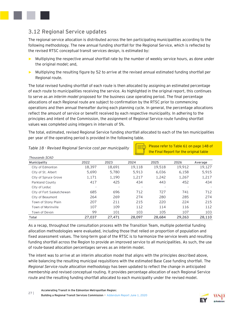

# **3.12 Regional Service updates**

The regional service allocation is distributed across the ten participating municipalities according to the following methodology. The new annual funding shortfall for the Regional Service, which is reflected by the revised RTSC conceptual transit services design, is estimated by:

- ► Multiplying the respective annual shortfall rate by the number of weekly service hours, as done under the original model; and,
- ► Multiplying the resulting figure by 52 to arrive at the revised annual estimated funding shortfall per Regional route.

The total revised funding shortfall of each route is then allocated by assigning an estimated percentage of each route to municipalities receiving the service. As highlighted in the original report, this continues to serve as *an interim model* proposed for the business case operating period. The final percentage allocations of each Regional route are subject to confirmation by the RTSC prior to commencing operations and then annual thereafter during each planning cycle. In general, the percentage allocations reflect the amount of service or benefit received by each respective municipality. In adhering to the principles and intent of the Commission, the assignment of Regional Service route funding shortfall values was completed using integers in intervals of 5%.

The total, estimated, revised Regional Service funding shortfall allocated to each of the ten municipalities per year of the operating period is provided in the following table.

| Table 18 - Revised Regional Service cost per municipality |        |        |        | Please refer to Table 61 on page 148 of |                                         |         |
|-----------------------------------------------------------|--------|--------|--------|-----------------------------------------|-----------------------------------------|---------|
| Thousands \$CAD                                           |        |        |        |                                         | the Final Report for the original table |         |
| Municipality                                              | 2022   | 2023   | 2024   | 2025                                    | 2026                                    | Average |
| City of Edmonton                                          | 18,397 | 18,691 | 19,118 | 19,518                                  | 19,912                                  | 19,127  |
| City of St. Albert                                        | 5,690  | 5,780  | 5.913  | 6,036                                   | 6,158                                   | 5,915   |
| City of Spruce Grove                                      | 1,171  | 1,190  | 1,217  | 1,242                                   | 1,267                                   | 1,217   |
| Parkland County                                           | 417    | 425    | 434    | 443                                     | 452                                     | 434     |
| City of Leduc                                             |        |        |        |                                         |                                         |         |
| City of Fort Saskatchewan                                 | 685    | 696    | 712    | 727                                     | 741                                     | 712     |
| City of Beaumont                                          | 264    | 269    | 274    | 280                                     | 285                                     | 274     |
| Town of Stony Plain                                       | 207    | 211    | 215    | 220                                     | 224                                     | 215     |
| Town of Morinville                                        | 107    | 109    | 112    | 114                                     | 116                                     | 112     |
| Town of Devon                                             | 99     | 101    | 103    | 105                                     | 107                                     | 103     |
| Total                                                     | 27,037 | 27,471 | 28,097 | 28,684                                  | 29,263                                  | 28,110  |
|                                                           |        |        |        |                                         |                                         |         |

#### *Table 18 - Revised Regional Service cost per municipality*

As a recap, throughout the consultation process with the Transition Team, multiple potential funding allocation methodologies were evaluated, including those that relied on proportion of population and fixed assessment values. The long-term goal of the RTSC is to harmonize the service levels and resulting funding shortfall across the Region to provide an improved service to all municipalities. As such, the use of route-based allocation percentages serves as an interim model.

The intent was to arrive at an interim allocation model that aligns with the principles described above, while balancing the resulting municipal requisitions with the estimated Base Case funding shortfall. The *Regional Service route allocation methodology* has been updated to reflect the change in anticipated membership and revised conceptual routing. It provides percentage allocation of each Regional Service route and the resulting funding shortfall allocated to each municipality under the revised model.

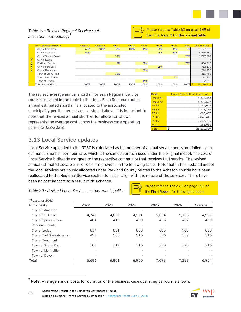

#### *Table 19 - Revised Regional Service route allocation methodology<sup>3</sup>*

| $\overline{\Xi^{(1)}}$ Please refer to Table 62 on page 149 of<br>U the Final Report for the original table |
|-------------------------------------------------------------------------------------------------------------|
|                                                                                                             |

|              | Table 19 - Revised Regional Service route<br>allocation methodology |          |          |             | Please refer to Table 62 on page 149 of<br>the Final Report for the original table |             |             |              |            |                        |
|--------------|---------------------------------------------------------------------|----------|----------|-------------|------------------------------------------------------------------------------------|-------------|-------------|--------------|------------|------------------------|
|              | <b>RTSC (Regional) Route</b>                                        | Rapid #1 | Rapid #2 | <b>RE#1</b> | <b>RE#3</b>                                                                        | <b>RE#4</b> | <b>RE#6</b> | <b>RE #7</b> | <b>MTA</b> | <b>Total Shortfall</b> |
|              | City of Edmonton                                                    | 40%      | 100%     | 30%         | 100%                                                                               | 15%         | 50%         | 35%          | 5%         | 19,127,075             |
|              | City of St Albert                                                   | 60%      |          |             |                                                                                    |             | 25%         | 60%          |            | 5,915,351              |
|              | City of Spruce Grove                                                |          |          | 55%         |                                                                                    |             |             |              | 20%        | 1,217,283              |
|              | City of Leduc                                                       |          |          |             |                                                                                    |             |             |              |            |                        |
| Municipality | Parkland County                                                     |          |          | 5%          |                                                                                    | 30%         |             |              | 75%        | 434,216                |
|              | City of Fort Sask                                                   |          |          |             |                                                                                    |             | 25%         |              |            | 712,110                |
|              | City of Beaumont                                                    |          |          |             |                                                                                    |             |             |              |            | 274,255                |
|              | Town of Stony Plain                                                 |          |          | 10%         |                                                                                    |             |             |              |            | 215,468                |
|              | Town of Morinville                                                  |          |          |             |                                                                                    |             |             | 5%           |            | 111,736                |
|              | Town of Devon                                                       |          |          |             |                                                                                    | 15%         |             |              |            | 102,846                |
|              | <b>Total % Allocation</b>                                           | 100%     | 100%     | 100%        | 100%                                                                               | 100%        | 100%        | 100%         | 100%       | 28,110,339             |
|              |                                                                     |          |          |             |                                                                                    |             |             |              |            |                        |

The revised average annual shortfall for each Regional Service route is provided in the table to the right. Each Regional route's annual estimated shortfall is allocated to the associated municipality per the percentages assigned above. It is important to note that the revised annual shortfall for allocation shown represents the average cost across the business case operating period (2022-2026).

| Route        | <b>Annual Shortfall for Allocation</b> |
|--------------|----------------------------------------|
| Rapid #1     | 6.437.343                              |
| Rapid #2     | 6.470.697                              |
| <b>RE#1</b>  | 2,154,675                              |
| RF#3         | 7,117,766                              |
| $RF$ #4      | 685.637                                |
| <b>RF #6</b> | 2,848,441                              |
| <b>RF #7</b> | 2,234,725                              |
| <b>MTA</b>   | 161.056                                |
| <b>Total</b> | 28.110.339                             |

Please refer to Table 63 on page 150 of the Final Report for the original table

# **3.13 Local Service updates**

Local Service uploaded to the RTSC is calculated as the number of annual service hours multiplied by an estimated shortfall per hour rate, which is the same approach used under the original model. The cost of Local Service is directly assigned to the respective community that receives that service. The revised annual estimated Local Service costs are provided in the following table. Note that in this updated model the local services previously allocated under Parkland County related to the Acheson shuttle have been reallocated to the Regional Service section to better align with the nature of the services. There have been no cost impacts as a result of this change.

*Table 20 - Revised Local Service cost per municipality*

| Thousands \$CAD           |       |       |       |       |       |         |
|---------------------------|-------|-------|-------|-------|-------|---------|
| Municipality              | 2022  | 2023  | 2024  | 2025  | 2026  | Average |
| City of Edmonton          |       |       |       |       |       |         |
| City of St. Albert        | 4,745 | 4,820 | 4,931 | 5,034 | 5,135 | 4,933   |
| City of Spruce Grove      | 404   | 412   | 420   | 428   | 437   | 420     |
| Parkland County           |       |       |       |       |       |         |
| City of Leduc             | 834   | 851   | 868   | 885   | 903   | 868     |
| City of Fort Saskatchewan | 496   | 506   | 516   | 526   | 537   | 516     |
| City of Beaumont          |       |       |       |       |       |         |
| Town of Stony Plain       | 208   | 212   | 216   | 220   | 225   | 216     |
| Town of Morinville        |       |       |       |       |       |         |
| Town of Devon             |       |       |       |       |       |         |
| Total                     | 6,686 | 6,801 | 6,950 | 7,093 | 7,238 | 6,954   |

 $^{\rm 3}$  Note: Average annual costs for duration of the business case operating period are shown.

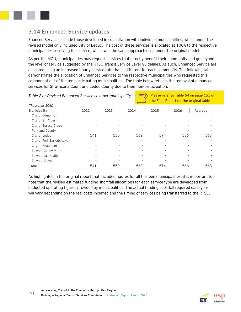

# **3.14 Enhanced Service updates**

Enanced Services include those developed in consultation with individual municipalities, which under the revised model only included City of Leduc. The cost of these services is allocated at 100% to the respective municipalities receiving the service, which was the same approach used under the original model.

As per the MOU, municipalities may request services that directly benefit their community and go beyond the level of service suggested by the RTSC Transit Service Level Guidelines. As such, Enhanced Service are allocated using an increased hourly service rate that is different for each community. The following table demonstrates the allocation of Enhanced Services to the respective municipalities who requested this component out of the ten participating municipalities. The table below reflects the removal of enhanced services for Strathcona Count and Leduc County due to their non-participation.

| Thousands \$CAD           |      |      |      |      |      |         |
|---------------------------|------|------|------|------|------|---------|
| Municipality              | 2022 | 2023 | 2024 | 2025 | 2026 | Average |
| City of Edmonton          |      |      |      |      |      |         |
| City of St. Albert        |      | ٠    |      |      |      |         |
| City of Spruce Grove      |      |      |      |      |      |         |
| Parkland County           |      |      |      |      |      |         |
| City of Leduc             | 541  | 550  | 562  | 574  | 586  | 563     |
| City of Fort Saskatchewan |      |      |      |      |      |         |
| City of Beaumont          |      | ۰    |      |      |      |         |
| Town of Stony Plain       |      |      |      |      |      |         |
| Town of Morinville        |      |      |      |      |      |         |
| Town of Devon             |      |      |      |      |      |         |
| Total                     | 541  | 550  | 562  | 574  | 586  | 563     |

*Table 21 - Revised Enhanced Service cost per municipality*

Please refer to Table 64 on page 151 of the Final Report for the original table

As highlighted in the original report that included figures for all thirteen municipalities, it is important to note that the revised estimated funding shortfall allocations for each service type are developed from budgeted operating figures provided by municipalities. The actual funding shortfall required each year will vary depending on the real costs incurred and the timing of services being transferred to the RTSC.

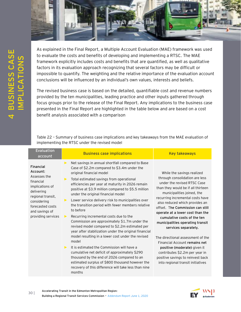

<span id="page-31-0"></span>As explained in the Final Report, a Multiple Account Evaluation (MAE) framework was used to evaluate the costs and benefits of developing and implementing a RTSC. The MAE framework explicitly includes costs and benefits that are quantified, as well as qualitative factors in its evaluation approach recognizing that several factors may be difficult or impossible to quantify. The weighting and the relative importance of the evaluation account conclusions will be influenced by an individual's own values, interests and beliefs.

The revised business case is based on the detailed, quantifiable cost and revenue numbers provided by the ten municipalities, leading practice and other inputs gathered through focus groups prior to the release of the Final Report. Any implications to the business case presented in the Final Report are highlighted in the table below and are based on a cost benefit analysis associated with a comparison

Table 22 – Summary of business case implications and key takeaways from the MAE evaluation of implementing the RTSC under the revised model

| Evaluation<br>account                                                                                                                                                                      | <b>Business case implications</b>                                                                                                                                                                                                                                                                                                                                                                                                                                                                                                                                                                                                                                                                                                                                                                                                                                                                                                                                                                                                                       | <b>Key takeaways</b>                                                                                                                                                                                                                                                                                                                                                                                                                                                                                                                                                                                                       |
|--------------------------------------------------------------------------------------------------------------------------------------------------------------------------------------------|---------------------------------------------------------------------------------------------------------------------------------------------------------------------------------------------------------------------------------------------------------------------------------------------------------------------------------------------------------------------------------------------------------------------------------------------------------------------------------------------------------------------------------------------------------------------------------------------------------------------------------------------------------------------------------------------------------------------------------------------------------------------------------------------------------------------------------------------------------------------------------------------------------------------------------------------------------------------------------------------------------------------------------------------------------|----------------------------------------------------------------------------------------------------------------------------------------------------------------------------------------------------------------------------------------------------------------------------------------------------------------------------------------------------------------------------------------------------------------------------------------------------------------------------------------------------------------------------------------------------------------------------------------------------------------------------|
| <b>Financial</b><br>Account:<br>Assesses the<br>financial<br>implications of<br>delivering<br>regional transit,<br>considering<br>forecasted costs<br>and savings of<br>providing services | Net savings in annual shortfall compared to Base<br>$\blacktriangleright$<br>Case of \$2.2m compared to \$3.4m under the<br>original financial model<br>Total estimated savings from operational<br>▶<br>efficiencies per year at maturity in 2026 remain<br>positive at \$3.9 million compared to \$5.5 million<br>under the original financial model<br>Lower service delivery risk to municipalities over<br>▶<br>the transition period with fewer members relative<br>to before<br>Recurring incremental costs due to the<br>▶<br>Commission are approximately \$1.7m under the<br>revised model compared to \$2.2m estimated per<br>year after stabilization under the original financial<br>model resulting in a lower cost under the revised<br>model<br>It is estimated the Commission will have a<br>$\blacktriangleright$<br>cumulative net deficit of approximately \$290<br>thousand by the end of 2026 compared to an<br>estimated surplus of \$800 thousand however the<br>recovery of this difference will take less than nine<br>months | While the savings realized<br>through consolidation are less<br>under the revised RTSC Case<br>than they would be if all thirteen<br>municipalities joined, the<br>recurring incremental costs have<br>also reduced which provides an<br>offset. The Commission can still<br>operate at a lower cost than the<br>cumulative costs of the ten<br>municipalities operating transit<br>services separately.<br>The directional assessment of the<br>Financial Account remains net<br>positive (moderate) given it<br>contributes \$2.2m per year in<br>positive savings to reinvest back<br>into regional transit initiatives |

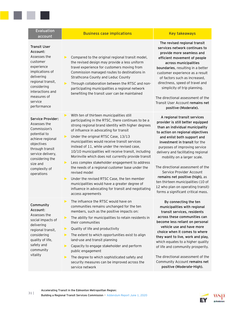| Evaluation<br>account                                                                                                                                                                                       | <b>Business case implications</b>                                                                                                                                                                                                                                                                                                                                                                                                                                                                                                                                                                                                                                                                                                                                            | <b>Key takeaways</b>                                                                                                                                                                                                                                                                                                                                                                                                             |
|-------------------------------------------------------------------------------------------------------------------------------------------------------------------------------------------------------------|------------------------------------------------------------------------------------------------------------------------------------------------------------------------------------------------------------------------------------------------------------------------------------------------------------------------------------------------------------------------------------------------------------------------------------------------------------------------------------------------------------------------------------------------------------------------------------------------------------------------------------------------------------------------------------------------------------------------------------------------------------------------------|----------------------------------------------------------------------------------------------------------------------------------------------------------------------------------------------------------------------------------------------------------------------------------------------------------------------------------------------------------------------------------------------------------------------------------|
| <b>Transit User</b><br>Account:<br>Assesses the<br>customer<br>experience<br>implications of<br>delivering<br>regional transit,<br>considering<br>interactions and<br>measures of<br>service<br>performance | ▶<br>Compared to the original regional transit model,<br>the revised design may provide a less uniform<br>travel experience for customers moving from<br>Commission managed routes to destinations in<br>Strathcona County and Leduc County<br>$\blacktriangleright$<br>Through collaboration between the RTSC and non-<br>participating municipalities a regional network<br>benefiting the transit user can be maintained                                                                                                                                                                                                                                                                                                                                                  | The revised regional t<br>services network contir<br>provide more seamles<br>efficient movement of<br>across municipaliti<br>boundaries, resulting in<br>customer experience as<br>of factors such as incre<br>directness, speed of tra<br>simplicity of trip planı<br>The directional assessme<br>Transit User Account rem<br>positive (Moderate                                                                                |
| Service Provider:<br>Assesses the<br>Commission's<br>potential to<br>achieve regional<br>objectives<br>through transit<br>service delivery,<br>considering the<br>size and<br>complexity of<br>operations   | ▶<br>With ten of thirteen municipalities still<br>participating in the RTSC, there continues to be a<br>strong regional brand identity with higher degrees<br>of influence in advocating for transit<br>Under the original RTSC Case, 13/13<br>▶<br>municipalities would receive transit services<br>instead of 11, while under the revised case,<br>10/10 municipalities will receive transit, including<br>Morinville which does not currently provide transit<br>Less complex stakeholder engagement to address<br>▶<br>the needs of a regional customer base under the<br>revised model<br>Under the revised RTSC Case, the ten member<br>▶<br>municipalities would have a greater degree of<br>influence in advocating for transit and negotiating<br>access agreements | A regional transit ser<br>provider is still better ed<br>than an individual muni-<br>to action on regional obj<br>and enlist both suppor<br>investment in transit f<br>purposes of improving s<br>delivery and facilitating r<br>mobility on a larger s<br>The directional assessme<br>Service Provider Acc<br>remains net positive (hi<br>ten thirteen municipalitie<br>12 who plan on operating<br>forms a significant critica |
| Community<br>Account:<br>Assesses the<br>social impacts of<br>delivering<br>regional transit,<br>considering<br>quality of life,<br>safety and<br>community<br>vitality                                     | The influence the RTSC would have on<br>▶<br>communities remains unchanged for the ten<br>members, such as the positive impacts on:<br>The ability for municipalities to retain residents in<br>▶<br>their communities<br>Quality of life and productivity<br>▶<br>The extent to which opportunities exist to align<br>▶<br>land-use and transit planning<br>Capacity to engage stakeholder and perform<br>▶<br>public engagement<br>The degree to which sophisticated safety and<br>▶<br>security measures can be improved across the<br>service network                                                                                                                                                                                                                    | By connecting the f<br>municipalities with red<br>transit services, resid<br>across these communit<br>become less reliant on p<br>vehicle use and have<br>choice when it comes to<br>they want to live, work a<br>which equates to a highe<br>of life and community pro<br>The directional assessme<br>Community Account rem<br>positive (Moderate-H                                                                             |

**The revised regional transit**  twork continues to **provide more seamless and efficient movement of people across municipalities**  resulting in a better perience as a result such as increased, speed of travel and of trip planning.

al assessment of the Account **remains net positive (Moderate).**

**A regional transit services provider is still better equipped than an individual municipality to action on regional objectives**  both support and **t** in transit for the improving service facilitating regional on a larger scale.

al assessment of the Provider Account **positive (high), as** municipalities (10 of on operating transit) ificant critical mass.

**By connecting the ten municipalities with regional transit services, residents across these communities can**  reliant on personal **e** and have more **choice when it comes to where**  live, work and play, es to a higher quality mmunity prosperity.

al assessment of the Account remains net **positive (Moderate-High).**

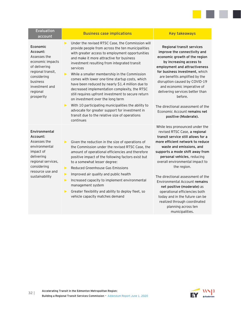| <b>Evaluation</b><br>account                                                                                                                                          | <b>Business case implications</b>                                                                                                                                                                                                                                                                                                                                                                                                                                                                                                                                                                                                                                                                                                                        | <b>Key takeaways</b>                                                                                                                                                                                                                                                                                                                                                                                                                                                                              |
|-----------------------------------------------------------------------------------------------------------------------------------------------------------------------|----------------------------------------------------------------------------------------------------------------------------------------------------------------------------------------------------------------------------------------------------------------------------------------------------------------------------------------------------------------------------------------------------------------------------------------------------------------------------------------------------------------------------------------------------------------------------------------------------------------------------------------------------------------------------------------------------------------------------------------------------------|---------------------------------------------------------------------------------------------------------------------------------------------------------------------------------------------------------------------------------------------------------------------------------------------------------------------------------------------------------------------------------------------------------------------------------------------------------------------------------------------------|
| Economic<br>Account:<br>Assesses the<br>economic impacts<br>of delivering<br>regional transit,<br>considering<br>business<br>investment and<br>regional<br>prosperity | Under the revised RTSC Case, the Commission will<br>▶<br>provide people from across the ten municipalities<br>with greater access to employment opportunities<br>and make it more attractive for business<br>investment resulting from integrated transit<br>services<br>While a smaller membership in the Commission<br>▶<br>comes with lower one-time startup costs, which<br>have been reduced by nearly \$1.4 million due to<br>decreased implementation complexity, the RTSC<br>still requires upfront investment to secure return<br>on investment over the long term<br>With 10 participating municipalities the ability to<br>▶<br>advocate for greater support for investment in<br>transit due to the relative size of operations<br>continues | Regional transit services<br>improve the connectivity and<br>economic growth of the region<br>by increasing access to<br>employment and attractiveness<br>for business investment, which<br>are benefits amplified by the<br>disruption caused by COVID-19<br>and economic imperative of<br>delivering services better than<br>before.<br>The directional assessment of the<br>Economic Account remains net<br>positive (Moderate).                                                               |
| Environmental<br>Account:<br>Assesses the<br>environmental<br>impact of<br>delivering<br>regional services,<br>considering<br>resource use and<br>sustainability      | $\blacktriangleright$<br>Given the reduction in the size of operations of<br>the Commission under the revised RTSC Case, the<br>amount of operational efficiencies and therefore<br>positive impact of the following factors exist but<br>to a somewhat lesser degree:<br>Reduced Greenhouse Gas Emissions<br>$\blacktriangleright$<br>Improved air quality and public health<br>$\blacktriangleright$<br>Increased capacity to implement environmental<br>▶<br>management system<br>Greater flexibility and ability to deploy fleet, so<br>▶<br>vehicle capacity matches demand                                                                                                                                                                         | While less pronounced under the<br>revised RTSC Case, a regional<br>transit service still allows for a<br>more efficient network to reduce<br>waste and emissions, and<br>supports a mode shift away from<br>personal vehicles, reducing<br>overall environmental impact to<br>the region.<br>The directional assessment of the<br>Environmental Account remains<br>net positive (moderate) as<br>operational efficiencies both<br>today and in the future can be<br>realized through coordinated |



a sa Ta

planning across ten municipalities.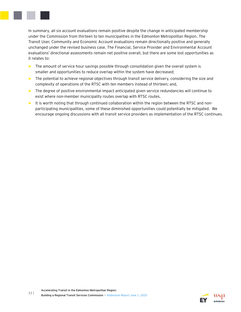

In summary, all six account evaluations remain positive despite the change in anticipated membership under the Commission from thirteen to ten municipalities in the Edmonton Metropolitan Region. The Transit User, Community and Economic Account evaluations remain directionally positive and generally unchanged under the revised business case. The Financial, Service Provider and Environmental Account evaluations' directional assessments remain net positive overall, but there are some lost opportunities as it relates to:

- ► The amount of service hour savings possible through consolidation given the overall system is smaller and opportunities to reduce overlap within the system have decreased;
- ► The potential to achieve regional objectives through transit service delivery, considering the size and complexity of operations of the RTSC with ten members instead of thirteen; and,
- ► The degree of positive environmental impact anticipated given service redundancies will continue to exist where non-member municipality routes overlap with RTSC routes.
- ► It is worth noting that through continued collaboration within the region between the RTSC and nonparticipating municipalities, some of these diminished opportunities could potentially be mitigated. We encourage ongoing discussions with all transit service providers as implementation of the RTSC continues.

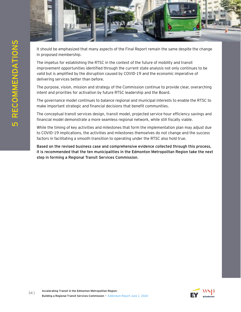

It should be emphasized that many aspects of the Final Report remain the same despite the change in proposed membership.

<span id="page-35-0"></span>The impetus for establishing the RTSC in the context of the future of mobility and transit improvement opportunities identified through the current state analysis not only continues to be valid but is amplified by the disruption caused by COVID-19 and the economic imperative of delivering services better than before.

The purpose, vision, mission and strategy of the Commission continue to provide clear, overarching intent and priorities for activation by future RTSC leadership and the Board.

The governance model continues to balance regional and municipal interests to enable the RTSC to make important strategic and financial decisions that benefit communities.

The conceptual transit services design, transit model, projected service hour efficiency savings and financial model demonstrate a more seamless regional network, while still fiscally viable.

While the timing of key activities and milestones that form the implementation plan may adjust due to COVID-19 implications, the activities and milestones themselves do not change and the success factors in facilitating a smooth transition to operating under the RTSC also hold true.

**Based on the revised business case and comprehensive evidence collected through this process, it is recommended that the ten municipalities in the Edmonton Metropolitan Region take the next step in forming a Regional Transit Services Commission**.